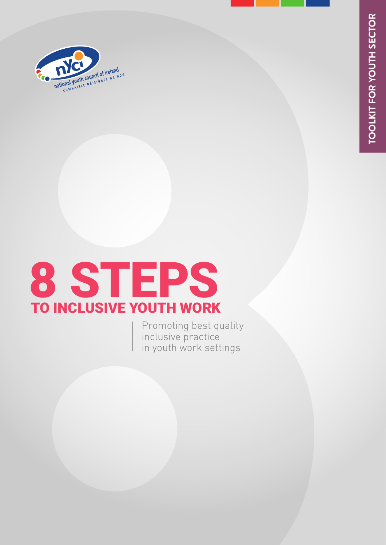

#### 8 TO I **S** NCLUS T<br>Sive IVE Y E **OUT PS** H WORK

Promoting best quality inclusive practice in youth work settings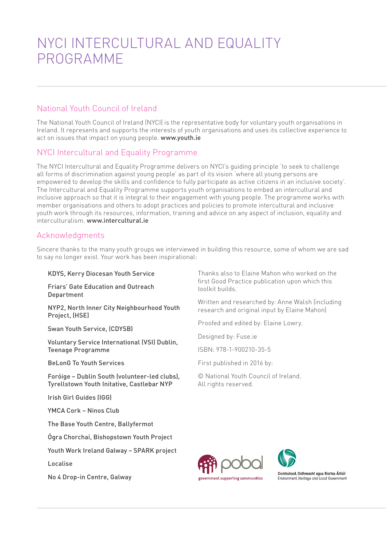## NYCI INTERCULTURAL AND EQUALITY PROGRAMME

### National Youth Council of Ireland

The National Youth Council of Ireland (NYCI) is the representative body for voluntary youth organisations in Ireland. It represents and supports the interests of youth organisations and uses its collective experience to act on issues that impact on young people. [www.youth.ie](http://www.youth.ie)

### NYCI Intercultural and Equality Programme

The NYCI Intercultural and Equality Programme delivers on NYCI's guiding principle 'to seek to challenge all forms of discrimination against young people' as part of its vision 'where all young persons are empowered to develop the skills and confidence to fully participate as active citizens in an inclusive society'. The Intercultural and Equality Programme supports youth organisations to embed an intercultural and inclusive approach so that it is integral to their engagement with young people. The programme works with member organisations and others to adopt practices and policies to promote intercultural and inclusive youth work through its resources, information, training and advice on any aspect of inclusion, equality and interculturalism. [www.intercultural.ie](http://www.intercultural.ie )

### Acknowledgments

Sincere thanks to the many youth groups we interviewed in building this resource, some of whom we are sad to say no longer exist. Your work has been inspirational:

#### KDYS, Kerry Diocesan Youth Service

Friars' Gate Education and Outreach Department

NYP2, North Inner City Neighbourhood Youth Project, (HSE)

Swan Youth Service, (CDYSB)

Voluntary Service International (VSI) Dublin, Teenage Programme

BeLonG To Youth Services

Foróige – Dublin South (volunteer-led clubs), Tyrellstown Youth Initative, Castlebar NYP

Irish Girl Guides (IGG)

YMCA Cork – Ninos Club

The Base Youth Centre, Ballyfermot

Ógra Chorchaí, Bishopstown Youth Project

Youth Work Ireland Galway – SPARK project

Localise

No 4 Drop-in Centre, Galway

Thanks also to Elaine Mahon who worked on the first Good Practice publication upon which this toolkit builds.

Written and researched by: Anne Walsh (including research and original input by Elaine Mahon)

Proofed and edited by: Elaine Lowry.

Designed by: [Fuse.ie](http://www.fuse.ie/)

ISBN: 978-1-900210-35-5

First published in 2016 by:

© National Youth Council of Ireland. All rights reserved.





Comhshaol, Oidhreacht agus Rialtas Áitiúil Environment, Heritage and Local Government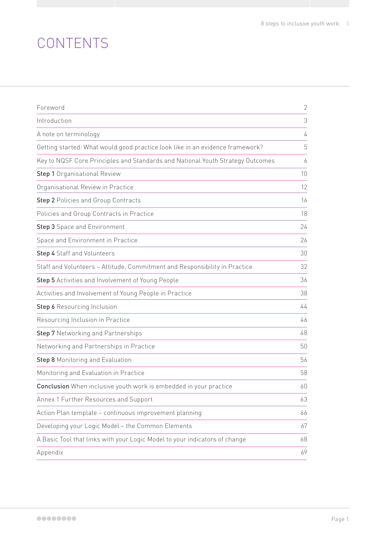# **CONTENTS**

| Foreword                                                                       | $\overline{2}$ |
|--------------------------------------------------------------------------------|----------------|
| Introduction                                                                   | 3              |
| A note on terminology                                                          | 4              |
| Getting started: What would good practice look like in an evidence framework?  | 5              |
| Key to NQSF Core Principles and Standards and National Youth Strategy Outcomes | 6              |
| <b>Step 1</b> Organisational Review                                            | 10             |
| Organisational Review in Practice                                              | 12             |
| <b>Step 2 Policies and Group Contracts</b>                                     | 16             |
| Policies and Group Contracts in Practice                                       | 18             |
| <b>Step 3</b> Space and Environment                                            | 24             |
| Space and Environment in Practice                                              | 26             |
| <b>Step 4 Staff and Volunteers</b>                                             | 30             |
| Staff and Volunteers - Attitude, Commitment and Responsibility in Practice     | 32             |
| <b>Step 5</b> Activities and Involvement of Young People                       | 36             |
| Activities and Involvement of Young People in Practice                         | 38             |
| Step 6 Resourcing Inclusion                                                    | 44             |
| Resourcing Inclusion in Practice                                               | 46             |
| <b>Step 7</b> Networking and Partnerships                                      | 48             |
| Networking and Partnerships in Practice                                        | 50             |
| <b>Step 8 Monitoring and Evaluation</b>                                        | 56             |
| Monitoring and Evaluation in Practice                                          | 58             |
| <b>Conclusion</b> When inclusive youth work is embedded in your practice       | 60             |
| Annex 1 Further Resources and Support                                          | 63             |
| Action Plan template - continuous improvement planning                         | 66             |
| Developing your Logic Model - the Common Elements                              | 67             |
| A Basic Tool that links with your Logic Model to your indicators of change     | 68             |
| Appendix                                                                       | 69             |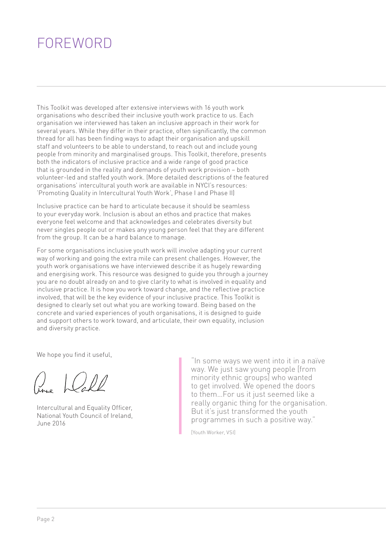# <span id="page-3-0"></span>FOREWORD

This Toolkit was developed after extensive interviews with 16 youth work organisations who described their inclusive youth work practice to us. Each organisation we interviewed has taken an inclusive approach in their work for several years. While they differ in their practice, often significantly, the common thread for all has been finding ways to adapt their organisation and upskill staff and volunteers to be able to understand, to reach out and include young people from minority and marginalised groups. This Toolkit, therefore, presents both the indicators of inclusive practice and a wide range of good practice that is grounded in the reality and demands of youth work provision – both volunteer-led and staffed youth work. (More detailed descriptions of the featured organisations' intercultural youth work are available in NYCI's resources: 'Promoting Quality in Intercultural Youth Work', Phase I and Phase II)

Inclusive practice can be hard to articulate because it should be seamless to your everyday work. Inclusion is about an ethos and practice that makes everyone feel welcome and that acknowledges and celebrates diversity but never singles people out or makes any young person feel that they are different from the group. It can be a hard balance to manage.

For some organisations inclusive youth work will involve adapting your current way of working and going the extra mile can present challenges. However, the youth work organisations we have interviewed describe it as hugely rewarding and energising work. This resource was designed to guide you through a journey you are no doubt already on and to give clarity to what is involved in equality and inclusive practice. It is how you work toward change, and the reflective practice involved, that will be the key evidence of your inclusive practice. This Toolkit is designed to clearly set out what you are working toward. Being based on the concrete and varied experiences of youth organisations, it is designed to guide and support others to work toward, and articulate, their own equality, inclusion and diversity practice.

We hope you find it useful,

Intercultural and Equality Officer, National Youth Council of Ireland, June 2016

"In some ways we went into it in a naïve way. We just saw young people [from minority ethnic groups] who wanted to get involved. We opened the doors to them…For us it just seemed like a really organic thing for the organisation. But it's just transformed the youth programmes in such a positive way."

[Youth Worker, VSI]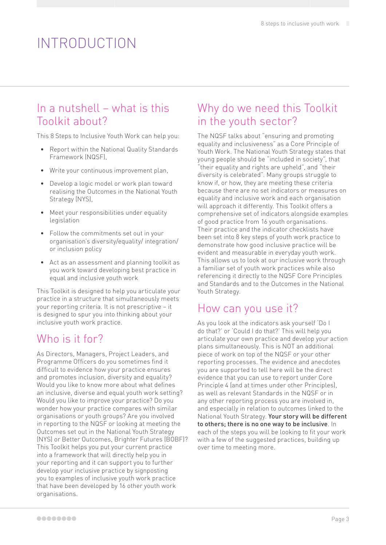# <span id="page-4-0"></span>INTRODUCTION

## In a nutshell – what is this Toolkit about?

This 8 Steps to Inclusive Youth Work can help you:

- Report within the National Quality Standards Framework (NQSF),
- Write your continuous improvement plan,
- Develop a logic model or work plan toward realising the Outcomes in the National Youth Strategy (NYS),
- Meet your responsibilities under equality legislation
- Follow the commitments set out in your organisation's diversity/equality/ integration/ or inclusion policy
- Act as an assessment and planning toolkit as you work toward developing best practice in equal and inclusive youth work

This Toolkit is designed to help you articulate your practice in a structure that simultaneously meets your reporting criteria. It is not prescriptive – it is designed to spur you into thinking about your inclusive youth work practice.

### Who is it for?

As Directors, Managers, Project Leaders, and Programme Officers do you sometimes find it difficult to evidence how your practice ensures and promotes inclusion, diversity and equality? Would you like to know more about what defines an inclusive, diverse and equal youth work setting? Would you like to improve your practice? Do you wonder how your practice compares with similar organisations or youth groups? Are you involved in reporting to the NQSF or looking at meeting the Outcomes set out in the National Youth Strategy (NYS) or Better Outcomes, Brighter Futures (BOBF)? This Toolkit helps you put your current practice into a framework that will directly help you in your reporting and it can support you to further develop your inclusive practice by signposting you to examples of inclusive youth work practice that have been developed by 16 other youth work organisations.

## Why do we need this Toolkit in the youth sector?

The NQSF talks about "ensuring and promoting equality and inclusiveness" as a Core Principle of Youth Work. The National Youth Strategy states that young people should be "included in society", that "their equality and rights are upheld", and "their diversity is celebrated". Many groups struggle to know if, or how, they are meeting these criteria because there are no set indicators or measures on equality and inclusive work and each organisation will approach it differently. This Toolkit offers a comprehensive set of indicators alongside examples of good practice from 16 youth organisations. Their practice and the indicator checklists have been set into 8 key steps of youth work practice to demonstrate how good inclusive practice will be evident and measurable in everyday youth work. This allows us to look at our inclusive work through a familiar set of youth work practices while also referencing it directly to the NQSF Core Principles and Standards and to the Outcomes in the National Youth Strategy.

### How can you use it?

As you look at the indicators ask yourself 'Do I do that?' or 'Could I do that?' This will help you articulate your own practice and develop your action plans simultaneously. This is NOT an additional piece of work on top of the NQSF or your other reporting processes. The evidence and anecdotes you are supported to tell here will be the direct evidence that you can use to report under Core Principle 4 (and at times under other Principles), as well as relevant Standards in the NQSF or in any other reporting process you are involved in, and especially in relation to outcomes linked to the National Youth Strategy. Your story will be different to others; there is no one way to be inclusive. In each of the steps you will be looking to fit your work with a few of the suggested practices, building up over time to meeting more.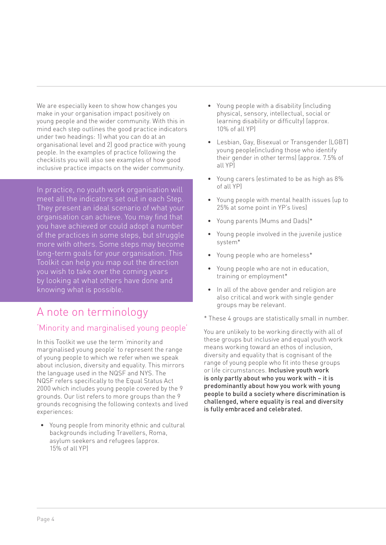<span id="page-5-0"></span>We are especially keen to show how changes you make in your organisation impact positively on young people and the wider community. With this in mind each step outlines the good practice indicators under two headings: 1) what you can do at an organisational level and 2) good practice with young people. In the examples of practice following the checklists you will also see examples of how good inclusive practice impacts on the wider community.

In practice, no youth work organisation will meet all the indicators set out in each Step. They present an ideal scenario of what your organisation can achieve. You may find that you have achieved or could adopt a number of the practices in some steps, but struggle more with others. Some steps may become long-term goals for your organisation. This Toolkit can help you map out the direction you wish to take over the coming years by looking at what others have done and knowing what is possible.

## A note on terminology

### 'Minority and marginalised young people'

In this Toolkit we use the term 'minority and marginalised young people' to represent the range of young people to which we refer when we speak about inclusion, diversity and equality. This mirrors the language used in the NQSF and NYS. The NQSF refers specifically to the Equal Status Act 2000 which includes young people covered by the 9 grounds. Our list refers to more groups than the 9 grounds recognising the following contexts and lived experiences:

• Young people from minority ethnic and cultural backgrounds including Travellers, Roma, asylum seekers and refugees (approx. 15% of all YP)

- Young people with a disability (including physical, sensory, intellectual, social or learning disability or difficulty) (approx. 10% of all YP)
- Lesbian, Gay, Bisexual or Transgender (LGBT) young people(including those who identify their gender in other terms) (approx. 7.5% of all YP)
- Young carers (estimated to be as high as 8% of all YP)
- Young people with mental health issues (up to 25% at some point in YP's lives)
- Young parents (Mums and Dads)\*
- Young people involved in the juvenile justice system\*
- Young people who are homeless\*
- Young people who are not in education, training or employment\*
- In all of the above gender and religion are also critical and work with single gender groups may be relevant.
- \* These 4 groups are statistically small in number.

You are unlikely to be working directly with all of these groups but inclusive and equal youth work means working toward an ethos of inclusion, diversity and equality that is cognisant of the range of young people who fit into these groups or life circumstances. Inclusive youth work is only partly about who you work with – it is predominantly about how you work with young people to build a society where discrimination is challenged, where equality is real and diversity is fully embraced and celebrated.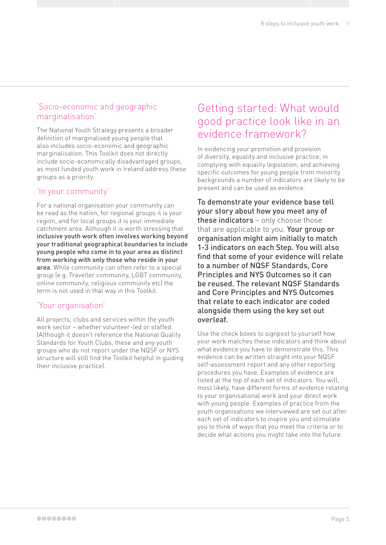### <span id="page-6-0"></span>'Socio-economic and geographic marginalisation'

The National Youth Strategy presents a broader definition of marginalised young people that also includes socio-economic and geographic marginalisation. This Toolkit does not directly include socio-economically disadvantaged groups, as most funded youth work in Ireland address these groups as a priority.

### 'In your community'

For a national organisation your community can be read as the nation, for regional groups it is your region, and for local groups it is your immediate catchment area. Although it is worth stressing that inclusive youth work often involves working beyond your traditional geographical boundaries to include young people who come in to your area as distinct from working with only those who reside in your area. While community can often refer to a special group (e.g. Traveller community, LGBT community, online community, religious community etc) the term is not used in that way in this Toolkit.

### 'Your organisation'

All projects, clubs and services within the youth work sector – whether volunteer-led or staffed. (Although it doesn't reference the National Quality Standards for Youth Clubs, these and any youth groups who do not report under the NQSF or NYS structure will still find the Toolkit helpful in guiding their inclusive practice).

### Getting started: What would good practice look like in an evidence framework?

In evidencing your promotion and provision of diversity, equality and inclusive practice; in complying with equality legislation; and achieving specific outcomes for young people from minority backgrounds a number of indicators are likely to be present and can be used as evidence.

To demonstrate your evidence base tell your story about how you meet any of these indicators - only choose those that are applicable to you. Your group or organisation might aim initially to match 1-3 indicators on each Step. You will also find that some of your evidence will relate to a number of NQSF Standards, Core Principles and NYS Outcomes so it can be reused. The relevant NQSF Standards and Core Principles and NYS Outcomes that relate to each indicator are coded alongside them using the key set out overleaf.

Use the check boxes to signpost to yourself how your work matches these indicators and think about what evidence you have to demonstrate this. This evidence can be written straight into your NQSF self-assessment report and any other reporting procedures you have. Examples of evidence are listed at the top of each set of indicators. You will, most likely, have different forms of evidence relating to your organisational work and your direct work with young people. Examples of practice from the youth organisations we interviewed are set out after each set of indicators to inspire you and stimulate you to think of ways that you meet the criteria or to decide what actions you might take into the future.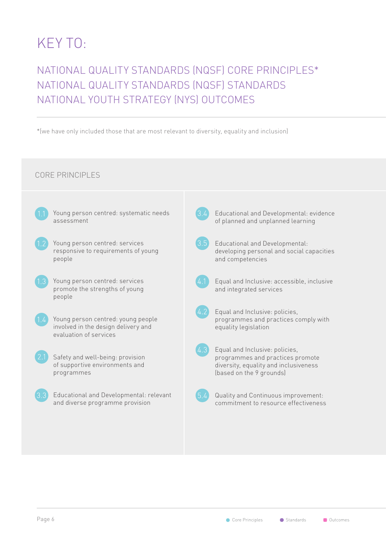# <span id="page-7-0"></span>KEY TO:

## NATIONAL QUALITY STANDARDS (NQSF) CORE PRINCIPLES\* NATIONAL QUALITY STANDARDS (NQSF) STANDARDS NATIONAL YOUTH STRATEGY (NYS) OUTCOMES

\*(we have only included those that are most relevant to diversity, equality and inclusion)

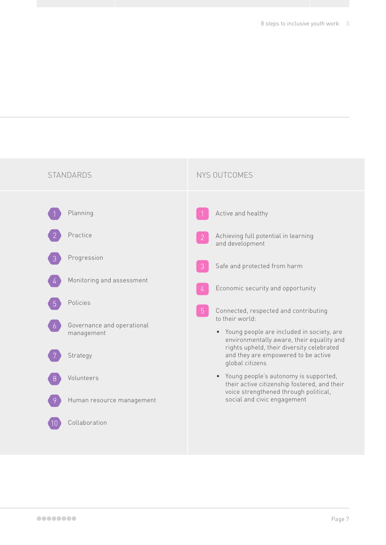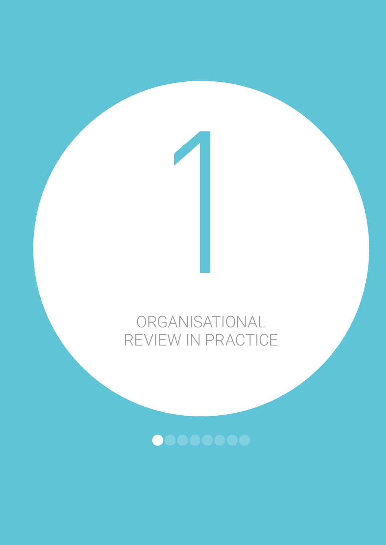# ORGANISATIONAL REVIEW IN PRACTICE

1

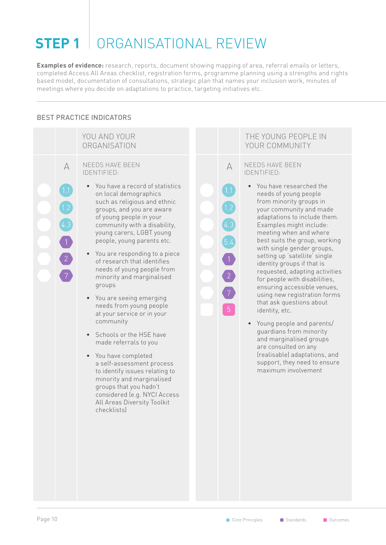# <span id="page-11-0"></span>**STEP 1** ORGANISATIONAL REVIEW

**Examples of evidence:** research, reports, document showing mapping of area, referral emails or letters, completed Access All Areas checklist, registration forms, programme planning using a strengths and rights based model, documentation of consultations, strategic plan that names your inclusion work, minutes of meetings where you decide on adaptations to practice, targeting initiatives etc.

### BEST PRACTICE INDICATORS

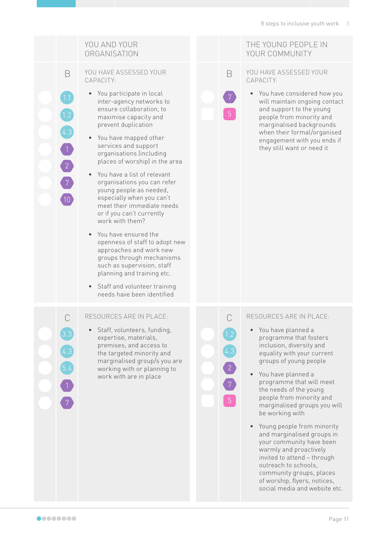### YOU AND YOUR **ORGANISATION**

B

 $\sqrt{2}$ 

 $\boxed{7}$ 

 $10$ 

YOU HAVE ASSESSED YOUR CAPACITY:

- You participate in local inter-agency networks to ensure collaboration, to maximise capacity and prevent duplication
- You have mapped other services and support organisations (including places of worship) in the area
- You have a list of relevant organisations you can refer young people as needed, especially when you can't meet their immediate needs or if you can't currently work with them?
- You have ensured the openness of staff to adopt new approaches and work new groups through mechanisms such as supervision, staff planning and training etc.
- Staff and volunteer training needs have been identified

#### C RESOURCES ARE IN PLACE:

• Staff, volunteers, funding, expertise, materials, premises, and access to the targeted minority and marginalised group/s you are working with or planning to work with are in place

#### THE YOUNG PEOPLE IN YOUR COMMUNITY

#### YOU HAVE ASSESSED YOUR CAPACITY:

B

• You have considered how you will maintain ongoing contact and support to the young people from minority and marginalised backgrounds when their formal/organised engagement with you ends if they still want or need it

#### C RESOURCES ARE IN PLACE:

- You have planned a programme that fosters inclusion, diversity and equality with your current groups of young people
- You have planned a programme that will meet the needs of the young people from minority and marginalised groups you will be working with
- Young people from minority and marginalised groups in your community have been warmly and proactively invited to attend – through outreach to schools, community groups, places of worship, flyers, notices, social media and website etc.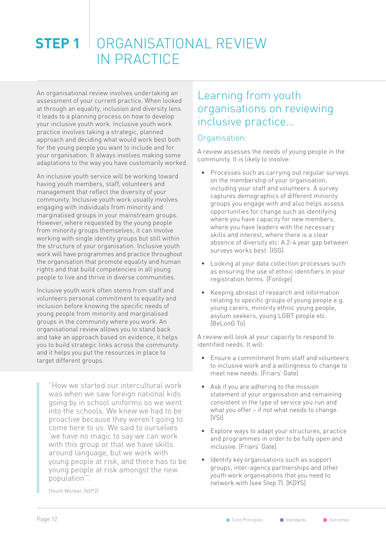### <span id="page-13-0"></span>**STEP 1** ORGANISATIONAL REVIEW IN PRACTICE

An organisational review involves undertaking an assessment of your current practice. When looked at through an equality, inclusion and diversity lens it leads to a planning process on how to develop your inclusive youth work. Inclusive youth work practice involves taking a strategic, planned approach and deciding what would work best both for the young people you want to include and for your organisation. It always involves making some adaptations to the way you have customarily worked.

An inclusive youth service will be working toward having youth members, staff, volunteers and management that reflect the diversity of your community. Inclusive youth work usually involves engaging with individuals from minority and marginalised groups in your mainstream groups. However, where requested by the young people from minority groups themselves, it can involve working with single identity groups but still within the structure of your organisation. Inclusive youth work will have programmes and practice throughout the organisation that promote equality and human rights and that build competencies in all young people to live and thrive in diverse communities.

Inclusive youth work often stems from staff and volunteers personal commitment to equality and inclusion before knowing the specific needs of young people from minority and marginalised groups in the community where you work. An organisational review allows you to stand back and take an approach based on evidence, it helps you to build strategic links across the community and it helps you put the resources in place to target different groups.

"How we started our intercultural work was when we saw foreign national kids going by in school uniforms so we went into the schools. We knew we had to be proactive because they weren't going to come here to us. We said to ourselves 'we have no magic to say we can work with this group or that we have skills around language, but we work with young people at risk, and there has to be young people at risk amongst the new population'".

### Learning from youth organisations on reviewing inclusive practice…

### Organisation:

A review assesses the needs of young people in the community. It is likely to involve:

- Processes such as carrying out regular surveys on the membership of your organisation, including your staff and volunteers. A survey captures demographics of different minority groups you engage with and also helps assess opportunities for change such as identifying where you have capacity for new members, where you have leaders with the necessary skills and interest, where there is a clear absence of diversity etc. A 2-4 year gap between surveys works best. [IGG]
- Looking at your data collection processes such as ensuring the use of ethnic identifiers in your registration forms. [Foróige]
- Keeping abreast of research and information relating to specific groups of young people e.g. young carers, minority ethnic young people, asylum seekers, young LGBT people etc. [BeLonG To]

A review will look at your capacity to respond to identified needs. It will:

- Ensure a commitment from staff and volunteers to inclusive work and a willingness to change to meet new needs. [Friars' Gate]
- Ask if you are adhering to the mission statement of your organisation and remaining consistent in the type of service you run and what you offer – if not what needs to change. [VSI]
- Explore ways to adapt your structures, practice and programmes in order to be fully open and inclusive. [Friars' Gate]
- Identify key organisations such as support groups, inter-agency partnerships and other youth work organisations that you need to network with (see Step 7). [KDYS]

[Youth Worker, NYP2]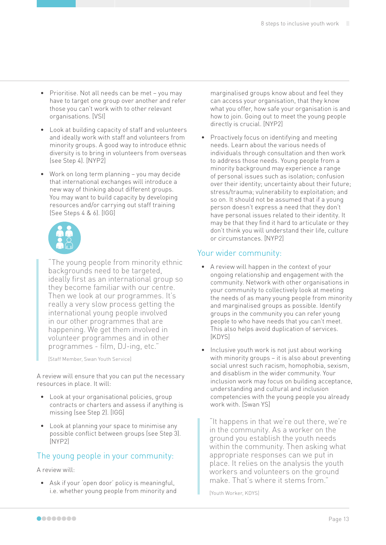- Prioritise. Not all needs can be met you may have to target one group over another and refer those you can't work with to other relevant organisations. [VSI]
- Look at building capacity of staff and volunteers and ideally work with staff and volunteers from minority groups. A good way to introduce ethnic diversity is to bring in volunteers from overseas (see Step 4). [NYP2]
- Work on long term planning you may decide that international exchanges will introduce a new way of thinking about different groups. You may want to build capacity by developing resources and/or carrying out staff training (See Steps 4 & 6). [IGG]



"The young people from minority ethnic backgrounds need to be targeted, ideally first as an international group so they become familiar with our centre. Then we look at our programmes. It's really a very slow process getting the international young people involved in our other programmes that are happening. We get them involved in volunteer programmes and in other programmes - film, DJ-ing, etc."

[Staff Member, Swan Youth Service]

A review will ensure that you can put the necessary resources in place. It will:

- Look at your organisational policies, group contracts or charters and assess if anything is missing (see Step 2). [IGG]
- Look at planning your space to minimise any possible conflict between groups (see Step 3). [NYP2]

### The young people in your community:

#### A review will:

• Ask if your 'open door' policy is meaningful, i.e. whether young people from minority and marginalised groups know about and feel they can access your organisation, that they know what you offer, how safe your organisation is and how to join. Going out to meet the young people directly is crucial. [NYP2]

• Proactively focus on identifying and meeting needs. Learn about the various needs of individuals through consultation and then work to address those needs. Young people from a minority background may experience a range of personal issues such as isolation; confusion over their identity; uncertainty about their future; stress/trauma; vulnerability to exploitation; and so on. It should not be assumed that if a young person doesn't express a need that they don't have personal issues related to their identity. It may be that they find it hard to articulate or they don't think you will understand their life, culture or circumstances. [NYP2]

### Your wider community:

- A review will happen in the context of your ongoing relationship and engagement with the community. Network with other organisations in your community to collectively look at meeting the needs of as many young people from minority and marginalised groups as possible. Identify groups in the community you can refer young people to who have needs that you can't meet. This also helps avoid duplication of services. [KDYS]
- Inclusive youth work is not just about working with minority groups – it is also about preventing social unrest such racism, homophobia, sexism, and disablism in the wider community. Your inclusion work may focus on building acceptance, understanding and cultural and inclusion competencies with the young people you already work with. [Swan YS]

"It happens in that we're out there, we're in the community. As a worker on the ground you establish the youth needs within the community. Then asking what appropriate responses can we put in place. It relies on the analysis the youth workers and volunteers on the ground make. That's where it stems from."

[Youth Worker, KDYS]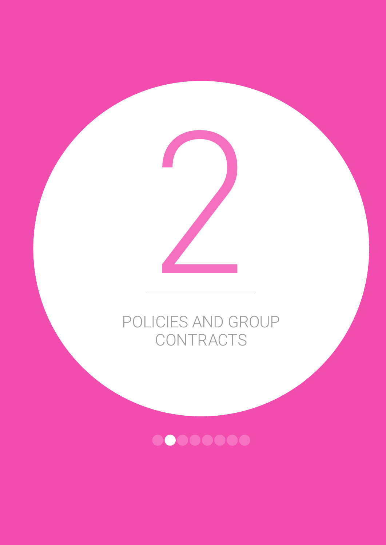

# POLICIES AND GROUP **CONTRACTS**

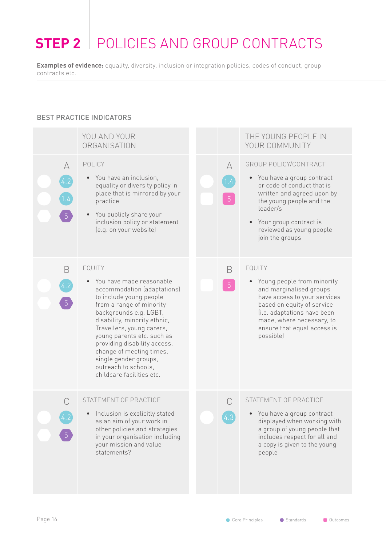# <span id="page-17-0"></span>**STEP 2** POLICIES AND GROUP CONTRACTS

**Examples of evidence:** equality, diversity, inclusion or integration policies, codes of conduct, group contracts etc.

### BEST PRACTICE INDICATORS

|   | YOU AND YOUR<br>ORGANISATION                                                                                                                                                                                                                                                                                                                                                            |  |                                    | THE YOUNG PEOPLE IN<br>YOUR COMMUNITY                                                                                                                                                                                                              |
|---|-----------------------------------------------------------------------------------------------------------------------------------------------------------------------------------------------------------------------------------------------------------------------------------------------------------------------------------------------------------------------------------------|--|------------------------------------|----------------------------------------------------------------------------------------------------------------------------------------------------------------------------------------------------------------------------------------------------|
| A | POLICY<br>You have an inclusion,<br>equality or diversity policy in<br>place that is mirrored by your<br>practice<br>• You publicly share your<br>inclusion policy or statement<br>(e.g. on your website)                                                                                                                                                                               |  | $\forall$<br>1.4<br>$\overline{5}$ | GROUP POLICY/CONTRACT<br>• You have a group contract<br>or code of conduct that is<br>written and agreed upon by<br>the young people and the<br>leader/s<br>• Your group contract is<br>reviewed as young people<br>join the groups                |
| B | EQUITY<br>You have made reasonable<br>accommodation (adaptations)<br>to include young people<br>from a range of minority<br>backgrounds e.g. LGBT,<br>disability, minority ethnic,<br>Travellers, young carers,<br>young parents etc. such as<br>providing disability access,<br>change of meeting times,<br>single gender groups,<br>outreach to schools,<br>childcare facilities etc. |  | B<br>$\sqrt{5}$                    | EQUITY<br>Young people from minority<br>$\bullet$<br>and marginalised groups<br>have access to your services<br>based on equity of service<br>(i.e. adaptations have been<br>made, where necessary, to<br>ensure that equal access is<br>possible) |
|   | STATEMENT OF PRACTICE<br>• Inclusion is explicitly stated<br>as an aim of your work in<br>other policies and strategies<br>in your organisation including<br>your mission and value<br>statements?                                                                                                                                                                                      |  | C                                  | STATEMENT OF PRACTICE<br>• You have a group contract<br>displayed when working with<br>a group of young people that<br>includes respect for all and<br>a copy is given to the young<br>people                                                      |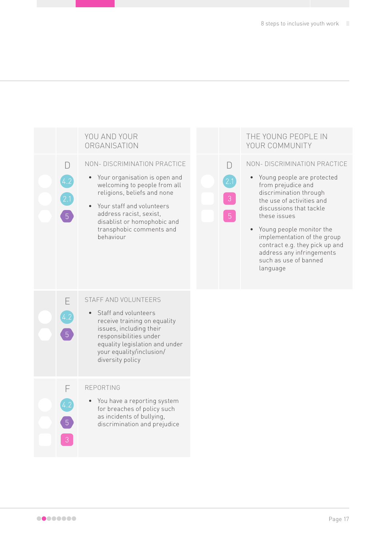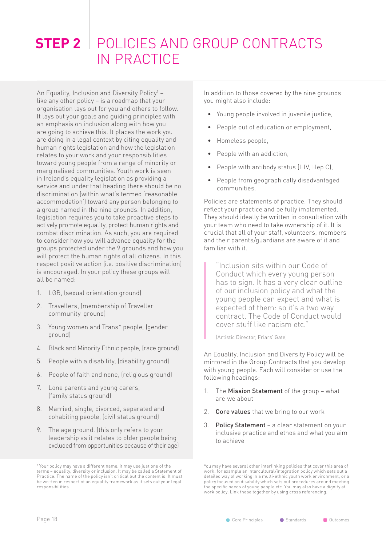## <span id="page-19-0"></span>**STEP 2** POLICIES AND GROUP CONTRACTS IN PRACTICE

An Equality, Inclusion and Diversity Policy<sup>1</sup> – like any other policy – is a roadmap that your organisation lays out for you and others to follow. It lays out your goals and guiding principles with an emphasis on inclusion along with how you are going to achieve this. It places the work you are doing in a legal context by citing equality and human rights legislation and how the legislation relates to your work and your responsibilities toward young people from a range of minority or marginalised communities. Youth work is seen in Ireland's equality legislation as providing a service and under that heading there should be no discrimination (within what's termed 'reasonable accommodation') toward any person belonging to a group named in the nine grounds. In addition, legislation requires you to take proactive steps to actively promote equality, protect human rights and combat discrimination. As such, you are required to consider how you will advance equality for the groups protected under the 9 grounds and how you will protect the human rights of all citizens. In this respect positive action (i.e. positive discrimination) is encouraged. In your policy these groups will all be named:

- 1. LGB, (sexual orientation ground)
- 2. Travellers, (membership of Traveller community ground)
- 3. Young women and Trans\* people, (gender ground)
- 4. Black and Minority Ethnic people, (race ground)
- 5. People with a disability, (disability ground)
- 6. People of faith and none, (religious ground)
- 7. Lone parents and young carers, (family status ground)
- 8. Married, single, divorced, separated and cohabiting people, (civil status ground)
- 9. The age ground. (this only refers to your leadership as it relates to older people being excluded from opportunities because of their age)

In addition to those covered by the nine grounds you might also include:

- Young people involved in juvenile justice,
- People out of education or employment,
- Homeless people,
- People with an addiction,
- People with antibody status (HIV, Hep C),
- People from geographically disadvantaged communities.

Policies are statements of practice. They should reflect your practice and be fully implemented. They should ideally be written in consultation with your team who need to take ownership of it. It is crucial that all of your staff, volunteers, members and their parents/guardians are aware of it and familiar with it.

"Inclusion sits within our Code of Conduct which every young person has to sign. It has a very clear outline of our inclusion policy and what the young people can expect and what is expected of them: so it's a two way contract. The Code of Conduct would cover stuff like racism etc."

[Artistic Director, Friars' Gate]

An Equality, Inclusion and Diversity Policy will be mirrored in the Group Contracts that you develop with young people. Each will consider or use the following headings:

- 1. The Mission Statement of the group what are we about
- 2. Core values that we bring to our work
- 3. Policy Statement a clear statement on your inclusive practice and ethos and what you aim to achieve

You may have several other interlinking policies that cover this area of work, for example an intercultural/integration policy which sets out a detailed way of working in a multi-ethnic youth work environment, or a policy focused on disability which sets out procedures around meeting the specific needs of young people etc. You may also have a dignity at work policy. Link these together by using cross referencing.

<sup>1</sup> Your policy may have a different name, it may use just one of the terms – equality, diversity or inclusion. It may be called a Statement of Practice. The name of the policy isn't critical but the content is. It must be written in respect of an equality framework as it sets out your legal responsibilities.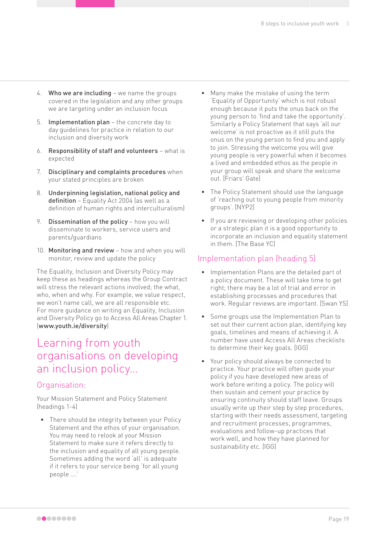- 4. Who we are including we name the groups covered in the legislation and any other groups we are targeting under an inclusion focus
- 5. Implementation plan the concrete day to day guidelines for practice in relation to our inclusion and diversity work
- 6. Responsibility of staff and volunteers what is expected
- 7. Disciplinary and complaints procedures when your stated principles are broken
- 8. Underpinning legislation, national policy and definition - Equality Act 2004 (as well as a definition of human rights and interculturalism)
- 9. Dissemination of the policy how you will disseminate to workers, service users and parents/guardians
- 10. Monitoring and review how and when you will monitor, review and update the policy

The Equality, Inclusion and Diversity Policy may keep these as headings whereas the Group Contract will stress the relevant actions involved; the what, who, when and why. For example, we value respect, we won't name call, we are all responsible etc. For more guidance on writing an Equality, Inclusion and Diversity Policy go to Access All Areas Chapter 1. ([www.youth.ie/diversity](http://www.youth.ie/diversity))

### Learning from youth organisations on developing an inclusion policy…

### Organisation:

Your Mission Statement and Policy Statement (headings 1-4)

There should be integrity between your Policy Statement and the ethos of your organisation. You may need to relook at your Mission Statement to make sure it refers directly to the inclusion and equality of all young people. Sometimes adding the word 'all' is adequate if it refers to your service being 'for all young people ….'

- Many make the mistake of using the term 'Equality of Opportunity' which is not robust enough because it puts the onus back on the young person to 'find and take the opportunity'. Similarly a Policy Statement that says 'all our welcome' is not proactive as it still puts the onus on the young person to find you and apply to join. Stressing the welcome you will give young people is very powerful when it becomes a lived and embedded ethos as the people in your group will speak and share the welcome out. [Friars' Gate]
- The Policy Statement should use the language of 'reaching out to young people from minority groups'. [NYP2]
- If you are reviewing or developing other policies or a strategic plan it is a good opportunity to incorporate an inclusion and equality statement in them. [The Base YC]

### Implementation plan (heading 5)

- Implementation Plans are the detailed part of a policy document. These will take time to get right; there may be a lot of trial and error in establishing processes and procedures that work. Regular reviews are important. [Swan YS]
- Some groups use the Implementation Plan to set out their current action plan, identifying key goals, timelines and means of achieving it. A number have used Access All Areas checklists to determine their key goals. [IGG]
- Your policy should always be connected to practice. Your practice will often guide your policy if you have developed new areas of work before writing a policy. The policy will then sustain and cement your practice by ensuring continuity should staff leave. Groups usually write up their step by step procedures, starting with their needs assessment, targeting and recruitment processes, programmes, evaluations and follow-up practices that work well, and how they have planned for sustainability etc. [IGG]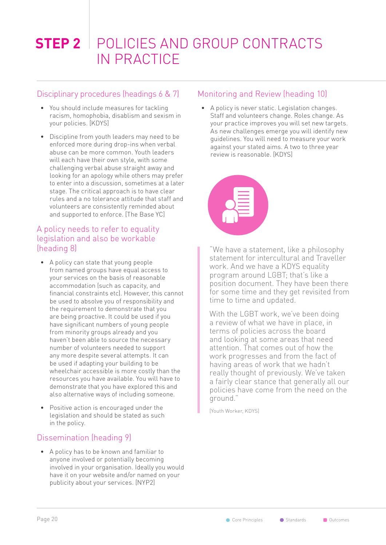# **STEP 2** POLICIES AND GROUP CONTRACTS IN PRACTICE

### Disciplinary procedures (headings 6 & 7)

- You should include measures for tackling racism, homophobia, disablism and sexism in your policies. [KDYS]
- Discipline from youth leaders may need to be enforced more during drop-ins when verbal abuse can be more common. Youth leaders will each have their own style, with some challenging verbal abuse straight away and looking for an apology while others may prefer to enter into a discussion, sometimes at a later stage. The critical approach is to have clear rules and a no tolerance attitude that staff and volunteers are consistently reminded about and supported to enforce. [The Base YC]

### A policy needs to refer to equality legislation and also be workable (heading 8)

- A policy can state that young people from named groups have equal access to your services on the basis of reasonable accommodation (such as capacity, and financial constraints etc). However, this cannot be used to absolve you of responsibility and the requirement to demonstrate that you are being proactive. It could be used if you have significant numbers of young people from minority groups already and you haven't been able to source the necessary number of volunteers needed to support any more despite several attempts. It can be used if adapting your building to be wheelchair accessible is more costly than the resources you have available. You will have to demonstrate that you have explored this and also alternative ways of including someone.
- Positive action is encouraged under the legislation and should be stated as such in the policy.

### Dissemination (heading 9)

• A policy has to be known and familiar to anyone involved or potentially becoming involved in your organisation. Ideally you would have it on your website and/or named on your publicity about your services. [NYP2]

### Monitoring and Review (heading 10)

• A policy is never static. Legislation changes. Staff and volunteers change. Roles change. As your practice improves you will set new targets. As new challenges emerge you will identify new guidelines. You will need to measure your work against your stated aims. A two to three year review is reasonable. [KDYS]



"We have a statement, like a philosophy statement for intercultural and Traveller work. And we have a KDYS equality program around LGBT; that's like a position document. They have been there for some time and they get revisited from time to time and updated.

With the LGBT work, we've been doing a review of what we have in place, in terms of policies across the board and looking at some areas that need attention. That comes out of how the work progresses and from the fact of having areas of work that we hadn't really thought of previously. We've taken a fairly clear stance that generally all our policies have come from the need on the ground."

[Youth Worker, KDYS]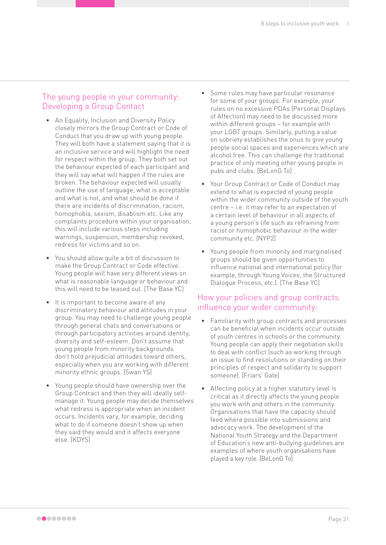### The young people in your community: Developing a Group Contact

- An Equality, Inclusion and Diversity Policy closely mirrors the Group Contract or Code of Conduct that you draw up with young people. They will both have a statement saying that it is an inclusive service and will highlight the need for respect within the group. They both set out the behaviour expected of each participant and they will say what will happen if the rules are broken. The behaviour expected will usually outline the use of language, what is acceptable and what is not, and what should be done if there are incidents of discrimination, racism, homophobia, sexism, disablism etc. Like any complaints procedure within your organisation, this will include various steps including warnings, suspension, membership revoked, redress for victims and so on.
- You should allow quite a bit of discussion to make the Group Contract or Code effective. Young people will have very different views on what is reasonable language or behaviour and this will need to be teased out. [The Base YC]
- It is important to become aware of any discriminatory behaviour and attitudes in your group. You may need to challenge young people through general chats and conversations or through participatory activities around identity, diversity and self-esteem. Don't assume that young people from minority backgrounds don't hold prejudicial attitudes toward others, especially when you are working with different minority ethnic groups. [Swan YS]
- Young people should have ownership over the Group Contract and then they will ideally selfmanage it. Young people may decide themselves what redress is appropriate when an incident occurs. Incidents vary, for example, deciding what to do if someone doesn't show up when they said they would and it affects everyone else. [KDYS]
- Some rules may have particular resonance for some of your groups. For example, your rules on no excessive PDAs (Personal Displays of Affection) may need to be discussed more within different groups – for example with your LGBT groups. Similarly, putting a value on sobriety establishes the onus to give young people social spaces and experiences which are alcohol free. This can challenge the traditional practice of only meeting other young people in pubs and clubs. [BeLonG To]
- Your Group Contract or Code of Conduct may extend to what is expected of young people within the wider community outside of the youth centre – i.e. it may refer to an expectation of a certain level of behaviour in all aspects of a young person's life such as refraining from racist or homophobic behaviour in the wider community etc. [NYP2]
- Young people from minority and marginalised groups should be given opportunities to influence national and international policy (for example, through Young Voices, the Structured Dialogue Process, etc.). [The Base YC]

### How your policies and group contracts influence your wider community:

- Familiarity with group contracts and processes can be beneficial when incidents occur outside of youth centres in schools or the community. Young people can apply their negotiation skills to deal with conflict (such as working through an issue to find resolutions or standing on their principles of respect and solidarity to support someone). [Friars' Gate]
- Affecting policy at a higher statutory level is critical as it directly affects the young people you work with and others in the community. Organisations that have the capacity should feed where possible into submissions and advocacy work. The development of the National Youth Strategy and the Department of Education's new anti-bullying guidelines are examples of where youth organisations have played a key role. [BeLonG To]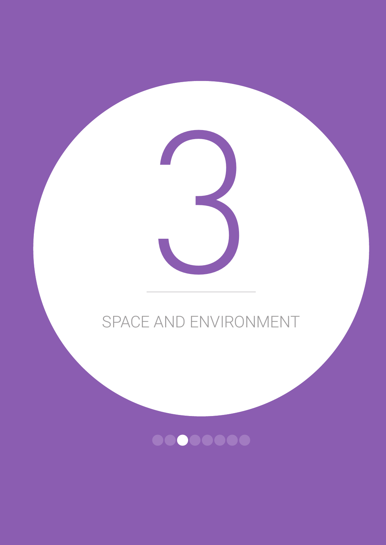# SPACE AND ENVIRONMENT

3

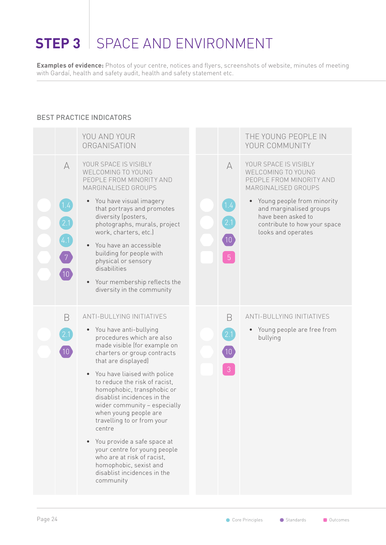# <span id="page-25-0"></span>**STEP 3** SPACE AND ENVIRONMENT

**Examples of evidence:** Photos of your centre, notices and flyers, screenshots of website, minutes of meeting with Gardaí, health and safety audit, health and safety statement etc.

### BEST PRACTICE INDICATORS

|                                                                                | YOU AND YOUR<br>ORGANISATION                                                                                                                                                                                                                                                                                                                                                                                                                                                                                                                                                                   |                                                               | THE YOUNG PEOPLE IN<br>YOUR COMMUNITY                                                                                                                                                                                               |
|--------------------------------------------------------------------------------|------------------------------------------------------------------------------------------------------------------------------------------------------------------------------------------------------------------------------------------------------------------------------------------------------------------------------------------------------------------------------------------------------------------------------------------------------------------------------------------------------------------------------------------------------------------------------------------------|---------------------------------------------------------------|-------------------------------------------------------------------------------------------------------------------------------------------------------------------------------------------------------------------------------------|
| $\forall$<br>1.4<br>$\left[2.1\right]$<br>4.1<br>$\sqrt{7}$<br>10 <sup>7</sup> | YOUR SPACE IS VISIBLY<br>WELCOMING TO YOUNG<br>PEOPLE FROM MINORITY AND<br>MARGINALISED GROUPS<br>You have visual imagery<br>that portrays and promotes<br>diversity (posters,<br>photographs, murals, project<br>work, charters, etc.)<br>You have an accessible<br>$\bullet$<br>building for people with<br>physical or sensory<br>disabilities<br>Your membership reflects the<br>$\bullet$<br>diversity in the community                                                                                                                                                                   | $\forall$<br>1.4<br>$\left 10\right\rangle$<br>5 <sup>5</sup> | YOUR SPACE IS VISIBLY<br>WELCOMING TO YOUNG<br>PEOPLE FROM MINORITY AND<br>MARGINALISED GROUPS<br>Young people from minority<br>and marginalised groups<br>have been asked to<br>contribute to how your space<br>looks and operates |
| B                                                                              | <b>ANTI-BULLYING INITIATIVES</b><br>• You have anti-bullying<br>procedures which are also<br>made visible (for example on<br>charters or group contracts<br>that are displayed)<br>You have liaised with police<br>$\bullet$<br>to reduce the risk of racist,<br>homophobic, transphobic or<br>disablist incidences in the<br>wider community - especially<br>when young people are<br>travelling to or from your<br>centre<br>You provide a safe space at<br>your centre for young people<br>who are at risk of racist,<br>homophobic, sexist and<br>disablist incidences in the<br>community | B<br>2.1                                                      | ANTI-BULLYING INITIATIVES<br>Young people are free from<br>bullying                                                                                                                                                                 |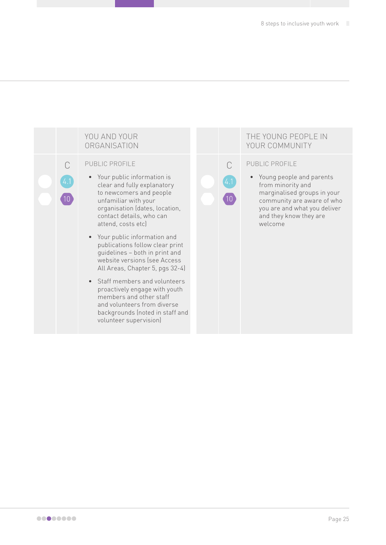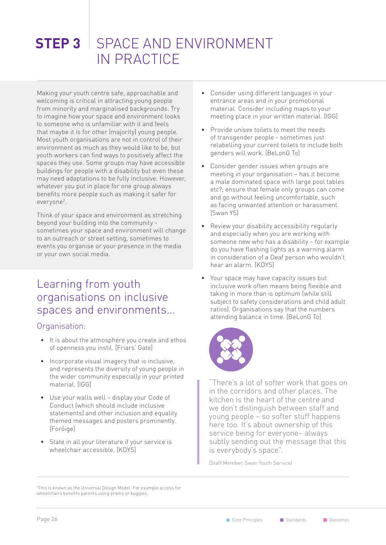## <span id="page-27-0"></span>**STEP 3** SPACE AND ENVIRONMENT IN PRACTICE

Making your youth centre safe, approachable and welcoming is critical in attracting young people from minority and marginalised backgrounds. Try to imagine how your space and environment looks to someone who is unfamiliar with it and feels that maybe it is for other (majority) young people. Most youth organisations are not in control of their environment as much as they would like to be, but youth workers can find ways to positively affect the spaces they use. Some groups may have accessible buildings for people with a disability but even these may need adaptations to be fully inclusive. However, whatever you put in place for one group always benefits more people such as making it safer for everyone2 .

Think of your space and environment as stretching beyond your building into the community sometimes your space and environment will change to an outreach or street setting, sometimes to events you organise or your presence in the media or your own social media.

### Learning from youth organisations on inclusive spaces and environments…

### Organisation:

- It is about the atmosphere you create and ethos of openness you instil. [Friars' Gate]
- Incorporate visual imagery that is inclusive, and represents the diversity of young people in the wider community especially in your printed material. [IGG]
- Use your walls well display your Code of Conduct (which should include inclusive statements) and other inclusion and equality themed messages and posters prominently. [Foróige]
- State in all your literature if your service is wheelchair accessible. [KDYS]
- Consider using different languages in your entrance areas and in your promotional material. Consider including maps to your meeting place in your written material. [IGG]
- Provide unisex toilets to meet the needs of transgender people - sometimes just relabelling your current toilets to include both genders will work. [BeLonG To]
- Consider gender issues when groups are meeting in your organisation – has it become a male dominated space with large pool tables etc?; ensure that female only groups can come and go without feeling uncomfortable, such as facing unwanted attention or harassment. [Swan YS]
- Review your disability accessibility regularly and especially when you are working with someone new who has a disability – for example do you have flashing lights as a warning alarm in consideration of a Deaf person who wouldn't hear an alarm. [KDYS]
- Your space may have capacity issues but inclusive work often means being flexible and taking in more than is optimum (while still subject to safety considerations and child adult ratios). Organisations say that the numbers attending balance in time. [BeLonG To]



"There's a lot of softer work that goes on in the corridors and other places. The kitchen is the heart of the centre and we don't distinguish between staff and young people – so softer stuff happens here too. It's about ownership of this service being for everyone– always subtly sending out the message that this is everybody's space".

[Staff Member, Swan Youth Service]

2 This is known as the Universal Design Model. For example access for wheelchairs benefits parents using prams or buggies.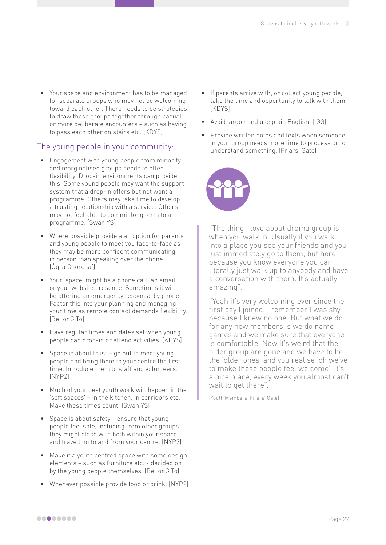• Your space and environment has to be managed for separate groups who may not be welcoming toward each other. There needs to be strategies to draw these groups together through casual or more deliberate encounters – such as having to pass each other on stairs etc. [KDYS]

### The young people in your community:

- Engagement with young people from minority and marginalised groups needs to offer flexibility. Drop-in environments can provide this. Some young people may want the support system that a drop-in offers but not want a programme. Others may take time to develop a trusting relationship with a service. Others may not feel able to commit long term to a programme. [Swan YS]
- Where possible provide a an option for parents and young people to meet you face-to-face as they may be more confident communicating in person than speaking over the phone. [Ógra Chorchaí]
- Your 'space' might be a phone call, an email or your website presence. Sometimes it will be offering an emergency response by phone. Factor this into your planning and managing your time as remote contact demands flexibility. [BeLonG To]
- Have regular times and dates set when young people can drop-in or attend activities. [KDYS]
- Space is about trust go out to meet young people and bring them to your centre the first time. Introduce them to staff and volunteers. [NYP2]
- Much of your best youth work will happen in the 'soft spaces' – in the kitchen, in corridors etc. Make these times count. [Swan YS]
- Space is about safety ensure that young people feel safe, including from other groups they might clash with both within your space and travelling to and from your centre. [NYP2]
- Make it a youth centred space with some design elements – such as furniture etc. - decided on by the young people themselves. [BeLonG To]
- Whenever possible provide food or drink. [NYP2]
- If parents arrive with, or collect young people, take the time and opportunity to talk with them. [KDYS]
- Avoid jargon and use plain English. [IGG]
- Provide written notes and texts when someone in your group needs more time to process or to understand something. [Friars' Gate]



"The thing I love about drama group is when you walk in. Usually if you walk into a place you see your friends and you just immediately go to them, but here because you know everyone you can literally just walk up to anybody and have a conversation with them. It's actually amazing".

"Yeah it's very welcoming ever since the first day I joined. I remember I was shy because I knew no one. But what we do for any new members is we do name games and we make sure that everyone is comfortable. Now it's weird that the older group are gone and we have to be the 'older ones' and you realise 'oh we've to make these people feel welcome'. It's a nice place, every week you almost can't wait to get there".

[Youth Members, Friars' Gate]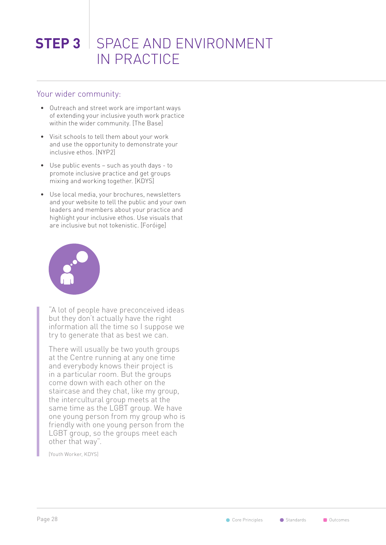## **STEP 3** SPACE AND ENVIRONMENT IN PRACTICE

### Your wider community:

- Outreach and street work are important ways of extending your inclusive youth work practice within the wider community. [The Base]
- Visit schools to tell them about your work and use the opportunity to demonstrate your inclusive ethos. [NYP2]
- Use public events such as youth days to promote inclusive practice and get groups mixing and working together. [KDYS]
- Use local media, your brochures, newsletters and your website to tell the public and your own leaders and members about your practice and highlight your inclusive ethos. Use visuals that are inclusive but not tokenistic. [Foróige]



"A lot of people have preconceived ideas but they don't actually have the right information all the time so I suppose we try to generate that as best we can.

There will usually be two youth groups at the Centre running at any one time and everybody knows their project is in a particular room. But the groups come down with each other on the staircase and they chat, like my group, the intercultural group meets at the same time as the LGBT group. We have one young person from my group who is friendly with one young person from the LGBT group, so the groups meet each other that way".

[Youth Worker, KDYS]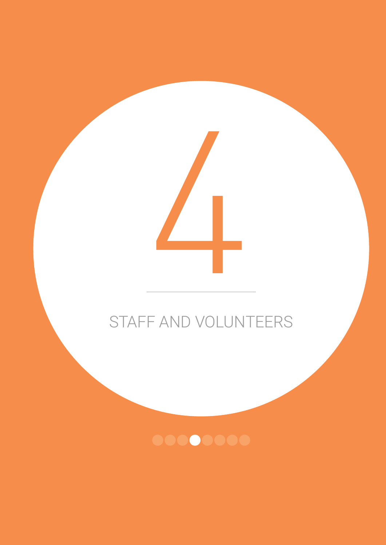

4

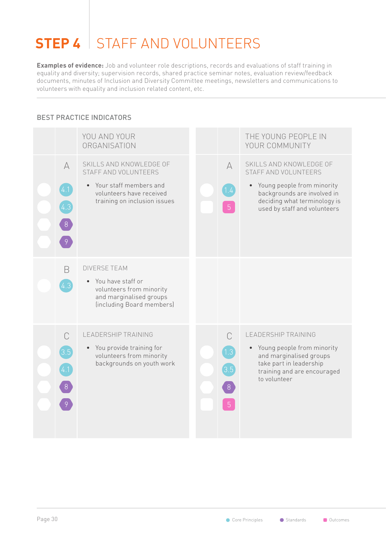# <span id="page-31-0"></span>**STEP 4** STAFF AND VOLUNTEERS

**Examples of evidence:** Job and volunteer role descriptions, records and evaluations of staff training in equality and diversity; supervision records, shared practice seminar notes, evaluation review/feedback documents, minutes of Inclusion and Diversity Committee meetings, newsletters and communications to volunteers with equality and inclusion related content, etc.

### BEST PRACTICE INDICATORS

|                                                         | YOU AND YOUR<br>ORGANISATION                                                                                                          |  |                                           | THE YOUNG PEOPLE IN<br>YOUR COMMUNITY                                                                                                                                        |
|---------------------------------------------------------|---------------------------------------------------------------------------------------------------------------------------------------|--|-------------------------------------------|------------------------------------------------------------------------------------------------------------------------------------------------------------------------------|
| $\forall$<br>(4.1)<br>(4.3)<br>8                        | SKILLS AND KNOWLEDGE OF<br>STAFF AND VOLUNTEERS<br>Your staff members and<br>volunteers have received<br>training on inclusion issues |  | A<br>1.4                                  | SKILLS AND KNOWLEDGE OF<br>STAFF AND VOLUNTEERS<br>Young people from minority<br>backgrounds are involved in<br>deciding what terminology is<br>used by staff and volunteers |
| B<br>4.3                                                | <b>DIVERSE TEAM</b><br>You have staff or<br>volunteers from minority<br>and marginalised groups<br>(including Board members)          |  |                                           |                                                                                                                                                                              |
| $\bigcap$<br>[3.5]<br>$\begin{bmatrix} 8 \end{bmatrix}$ | <b>LEADERSHIP TRAINING</b><br>• You provide training for<br>volunteers from minority<br>backgrounds on youth work                     |  | $\bigcap$<br>1.3<br>3.5<br>$8\phantom{.}$ | <b>LEADERSHIP TRAINING</b><br>• Young people from minority<br>and marginalised groups<br>take part in leadership<br>training and are encouraged<br>to volunteer              |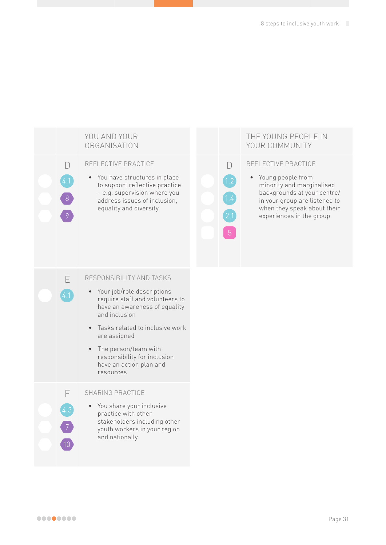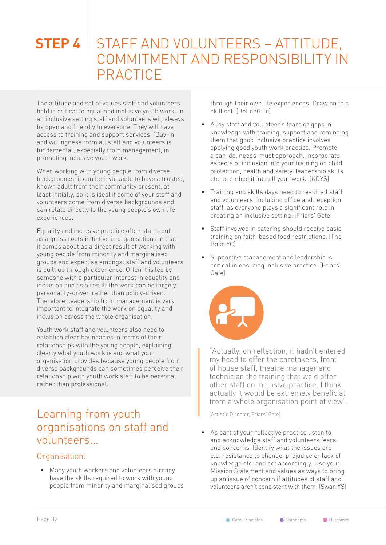## <span id="page-33-0"></span>**STEP 4** STAFF AND VOLUNTEERS - ATTITUDE, COMMITMENT AND RESPONSIBILITY IN PRACTICE

The attitude and set of values staff and volunteers hold is critical to equal and inclusive youth work. In an inclusive setting staff and volunteers will always be open and friendly to everyone. They will have access to training and support services. 'Buy-in' and willingness from all staff and volunteers is fundamental, especially from management, in promoting inclusive youth work.

When working with young people from diverse backgrounds, it can be invaluable to have a trusted, known adult from their community present, at least initially, so it is ideal if some of your staff and volunteers come from diverse backgrounds and can relate directly to the young people's own life experiences.

Equality and inclusive practice often starts out as a grass roots initiative in organisations in that it comes about as a direct result of working with young people from minority and marginalised groups and expertise amongst staff and volunteers is built up through experience. Often it is led by someone with a particular interest in equality and inclusion and as a result the work can be largely personality-driven rather than policy-driven. Therefore, leadership from management is very important to integrate the work on equality and inclusion across the whole organisation.

Youth work staff and volunteers also need to establish clear boundaries in terms of their relationships with the young people, explaining clearly what youth work is and what your organisation provides because young people from diverse backgrounds can sometimes perceive their relationship with youth work staff to be personal rather than professional.

### Learning from youth organisations on staff and volunteers…

### Organisation:

• Many youth workers and volunteers already Mission Statement and values as ways to bring<br>have the skills required to work with young the angle issue of concern if attitudes of staff and

through their own life experiences. Draw on this skill set. [BeLonG To]

- Allay staff and volunteer's fears or gaps in knowledge with training, support and reminding them that good inclusive practice involves applying good youth work practice. Promote a can-do, needs-must approach. Incorporate aspects of inclusion into your training on child protection, health and safety, leadership skills etc. to embed it into all your work. [KDYS]
- Training and skills days need to reach all staff and volunteers, including office and reception staff, as everyone plays a significant role in creating an inclusive setting. [Friars' Gate]
- Staff involved in catering should receive basic training on faith-based food restrictions. [The Base YC]
- Supportive management and leadership is critical in ensuring inclusive practice. [Friars' Gate]



"Actually, on reflection, it hadn't entered my head to offer the caretakers, front of house staff, theatre manager and technician the training that we'd offer other staff on inclusive practice. I think actually it would be extremely beneficial from a whole organisation point of view".

[Artistic Director, Friars' Gate]

• As part of your reflective practice listen to and acknowledge staff and volunteers fears and concerns. Identify what the issues are e.g. resistance to change, prejudice or lack of knowledge etc. and act accordingly. Use your have the skills required to work with young up an issue of concern if attitudes of staff and<br>people from minority and marginalised groups volunteers aren't consistent with them ISwan YS volunteers aren't consistent with them. [Swan YS]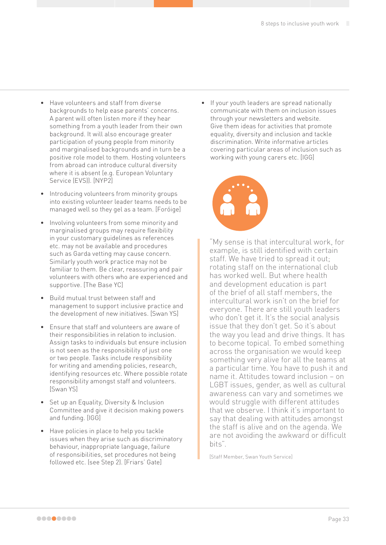- Have volunteers and staff from diverse backgrounds to help ease parents' concerns. A parent will often listen more if they hear something from a youth leader from their own background. It will also encourage greater participation of young people from minority and marginalised backgrounds and in turn be a positive role model to them. Hosting volunteers from abroad can introduce cultural diversity where it is absent (e.g. European Voluntary Service (EVS)). [NYP2]
- Introducing volunteers from minority groups into existing volunteer leader teams needs to be managed well so they gel as a team. [Foróige]
- Involving volunteers from some minority and marginalised groups may require flexibility in your customary guidelines as references etc. may not be available and procedures such as Garda vetting may cause concern. Similarly youth work practice may not be familiar to them. Be clear, reassuring and pair volunteers with others who are experienced and supportive. [The Base YC]
- Build mutual trust between staff and management to support inclusive practice and the development of new initiatives. [Swan YS]
- Ensure that staff and volunteers are aware of their responsibilities in relation to inclusion. Assign tasks to individuals but ensure inclusion is not seen as the responsibility of just one or two people. Tasks include responsibility for writing and amending policies, research, identifying resources etc. Where possible rotate responsibility amongst staff and volunteers. [Swan YS]
- Set up an Equality, Diversity & Inclusion Committee and give it decision making powers and funding. [IGG]
- Have policies in place to help you tackle issues when they arise such as discriminatory behaviour, inappropriate language, failure of responsibilities, set procedures not being followed etc. (see Step 2). [Friars' Gate]

• If your youth leaders are spread nationally communicate with them on inclusion issues through your newsletters and website. Give them ideas for activities that promote equality, diversity and inclusion and tackle discrimination. Write informative articles covering particular areas of inclusion such as working with young carers etc. [IGG]



"My sense is that intercultural work, for example, is still identified with certain staff. We have tried to spread it out; rotating staff on the international club has worked well. But where health and development education is part of the brief of all staff members, the intercultural work isn't on the brief for everyone. There are still youth leaders who don't get it. It's the social analysis issue that they don't get. So it's about the way you lead and drive things. It has to become topical. To embed something across the organisation we would keep something very alive for all the teams at a particular time. You have to push it and name it. Attitudes toward inclusion – on LGBT issues, gender, as well as cultural awareness can vary and sometimes we would struggle with different attitudes that we observe. I think it's important to say that dealing with attitudes amongst the staff is alive and on the agenda. We are not avoiding the awkward or difficult bits".

[Staff Member, Swan Youth Service]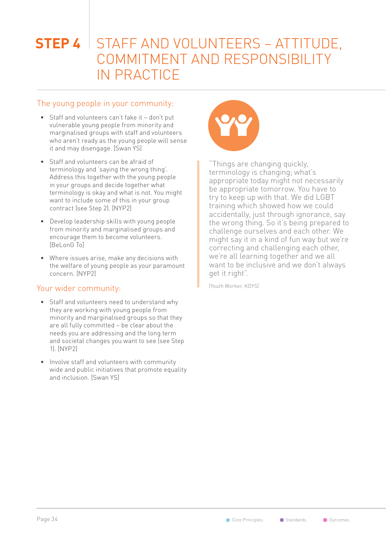## **STEP 4** STAFF AND VOLUNTEERS – ATTITUDE, COMMITMENT AND RESPONSIBILITY IN PRACTICE

### The young people in your community:

- Staff and volunteers can't fake it don't put vulnerable young people from minority and marginalised groups with staff and volunteers who aren't ready as the young people will sense it and may disengage. [Swan YS]
- Staff and volunteers can be afraid of terminology and 'saying the wrong thing'. Address this together with the young people in your groups and decide together what terminology is okay and what is not. You might want to include some of this in your group contract (see Step 2). [NYP2]
- Develop leadership skills with young people from minority and marginalised groups and encourage them to become volunteers. [BeLonG To]
- Where issues arise, make any decisions with the welfare of young people as your paramount concern. [NYP2]

### Your wider community:

- Staff and volunteers need to understand why they are working with young people from minority and marginalised groups so that they are all fully committed – be clear about the needs you are addressing and the long term and societal changes you want to see (see Step 1). [NYP2]
- Involve staff and volunteers with community wide and public initiatives that promote equality and inclusion. [Swan YS]



"Things are changing quickly, terminology is changing; what's appropriate today might not necessarily be appropriate tomorrow. You have to try to keep up with that. We did LGBT training which showed how we could accidentally, just through ignorance, say the wrong thing. So it's being prepared to challenge ourselves and each other. We might say it in a kind of fun way but we're correcting and challenging each other, we're all learning together and we all want to be inclusive and we don't always get it right".

[Youth Worker, KDYS]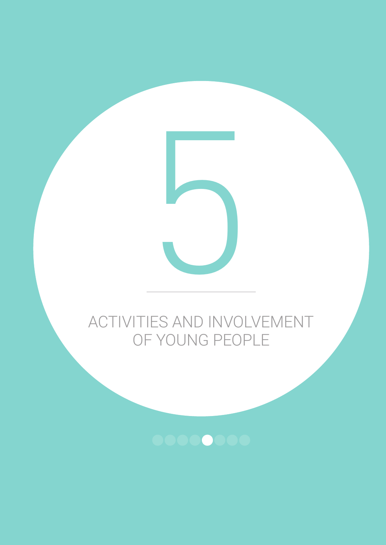

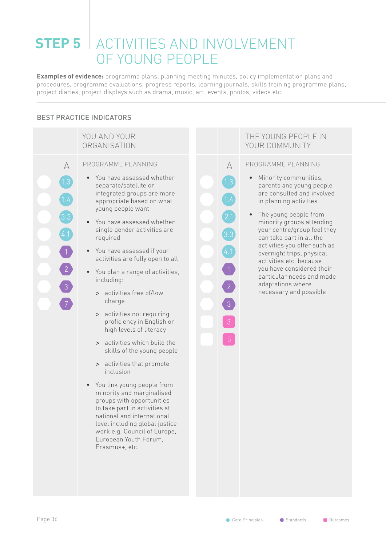# **STEP 5** ACTIVITIES AND INVOLVEMENT OF YOUNG PEOPLE

**Examples of evidence:** programme plans, planning meeting minutes, policy implementation plans and procedures, programme evaluations, progress reports, learning journals, skills training programme plans, project diaries, project displays such as drama, music, art, events, photos, videos etc.

#### BEST PRACTICE INDICATORS

|                                                                    | YOU AND YOUR<br>ORGANISATION                                                                                                                                                                                                                                                                                                                                                                                                                                                                                                                                                                                                                                                                                                                                                                                                                                       |                                                                                                                    | THE YOUNG I<br>YOUR COMM                                                                                                                                                                                                                       |
|--------------------------------------------------------------------|--------------------------------------------------------------------------------------------------------------------------------------------------------------------------------------------------------------------------------------------------------------------------------------------------------------------------------------------------------------------------------------------------------------------------------------------------------------------------------------------------------------------------------------------------------------------------------------------------------------------------------------------------------------------------------------------------------------------------------------------------------------------------------------------------------------------------------------------------------------------|--------------------------------------------------------------------------------------------------------------------|------------------------------------------------------------------------------------------------------------------------------------------------------------------------------------------------------------------------------------------------|
| A<br>$\left[1.3\right]$<br>1.4<br>[3.3]<br>4.1<br>$\boxed{2}$<br>3 | PROGRAMME PLANNING<br>You have assessed whether<br>separate/satellite or<br>integrated groups are more<br>appropriate based on what<br>young people want<br>You have assessed whether<br>single gender activities are<br>required<br>You have assessed if your<br>activities are fully open to all<br>You plan a range of activities,<br>including:<br>> activities free of/low<br>charge<br>activities not requiring<br>$\,>$<br>proficiency in English or<br>high levels of literacy<br>> activities which build the<br>skills of the young people<br>> activities that promote<br>inclusion<br>You link young people from<br>minority and marginalised<br>groups with opportunities<br>to take part in activities at<br>national and international<br>level including global justice<br>work e.g. Council of Europe,<br>European Youth Forum,<br>Erasmus+, etc. | A<br>$\left(1.3\right)$<br>1.4<br>2.1<br>$\left(3.3\right)$<br>(4.1)<br>$\overline{2}$<br>3<br>3<br>5 <sub>1</sub> | PROGRAMME F<br>Minority co<br>parents and<br>are consult<br>in planning<br>The young<br>minority gr<br>your centre<br>can take pa<br>activities yo<br>overnight ti<br>activities et<br>you have co<br>particular r<br>adaptations<br>necessary |

#### PEOPLE IN UNITY

#### PLANNING

- mmunities, d young people ted and involved activities
- people from oups attending e/group feel they  $\frac{1}{2}$  art in all the au offer such as rips, physical tc. because onsidered their needs and made s where and possible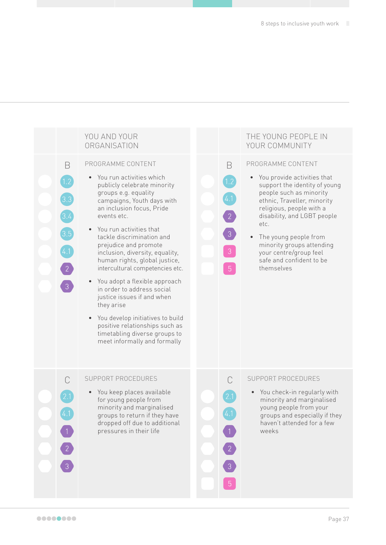

#### THE YOUNG PEOPLE IN YOUR COMMUNITY

#### PROGRAMME CONTENT

B

4.1

 $\boxed{2}$ 

- You provide activities that support the identity of young people such as minority ethnic, Traveller, minority religious, people with a disability, and LGBT people etc.
- The young people from minority groups attending your centre/group feel safe and confident to be themselves

#### C SUPPORT PROCEDURES

You check-in regularly with minority and marginalised young people from your groups and especially if they haven't attended for a few weeks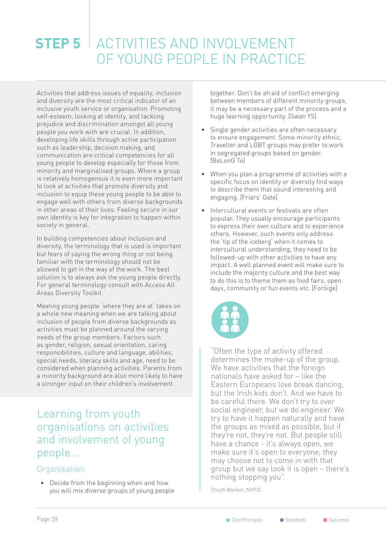# **STEP 5** ACTIVITIES AND INVOLVEMENT OF YOUNG PEOPLE IN PRACTICE

Activities that address issues of equality, inclusion and diversity are the most critical indicator of an inclusive youth service or organisation. Promoting self-esteem, looking at identity, and tackling prejudice and discrimination amongst all young people you work with are crucial. In addition, developing life skills through active participation such as leadership, decision making, and communication are critical competencies for all young people to develop especially for those from minority and marginalised groups. Where a group is relatively homogenous it is even more important to look at activities that promote diversity and inclusion to equip these young people to be able to engage well with others from diverse backgrounds in other areas of their lives. Feeling secure in our own identity is key for integration to happen within society in general.

In building competencies about inclusion and diversity, the terminology that is used is important but fears of saying the wrong thing or not being familiar with the terminology should not be allowed to get in the way of the work. The best solution is to always ask the young people directly. For general terminology consult with Access All Areas Diversity Toolkit.

Meeting young people 'where they are at' takes on a whole new meaning when we are talking about inclusion of people from diverse backgrounds as activities must be planned around the varying needs of the group members. Factors such as gender, religion, sexual orientation, caring responsibilities, culture and language, abilities, special needs, literacy skills and age, need to be considered when planning activities. Parents from a minority background are also more likely to have a stronger input on their children's involvement.

### Learning from youth organisations on activities and involvement of young people…

#### Organisation:

• Decide from the beginning when and how you will mix diverse groups of young people together. Don't be afraid of conflict emerging between members of different minority groups, it may be a necessary part of the process and a huge learning opportunity. [Swan YS]

- Single gender activities are often necessary to ensure engagement. Some minority ethnic, Traveller and LGBT groups may prefer to work in segregated groups based on gender. [BeLonG To]
- When you plan a programme of activities with a specific focus on identity or diversity find ways to describe them that sound interesting and engaging. [Friars' Gate]
- Intercultural events or festivals are often popular. They usually encourage participants to express their own culture and to experience others. However, such events only address the 'tip of the iceberg' when it comes to intercultural understanding; they need to be followed-up with other activities to have any impact. A well planned event will make sure to include the majority culture and the best way to do this is to theme them as food fairs, open days, community or fun events etc. [Foróige]



"Often the type of activity offered determines the make-up of the group. We have activities that the foreign nationals have asked for – like the Eastern Europeans love break dancing, but the Irish kids don't. And we have to be careful there. We don't try to over social engineer, but we do engineer. We try to have it happen naturally and have the groups as mixed as possible, but if they're not, they're not. But people still have a chance - it's always open, we make sure it's open to everyone; they may choose not to come in with that group but we say look it is open – there's nothing stopping you".

[Youth Worker, NYP2]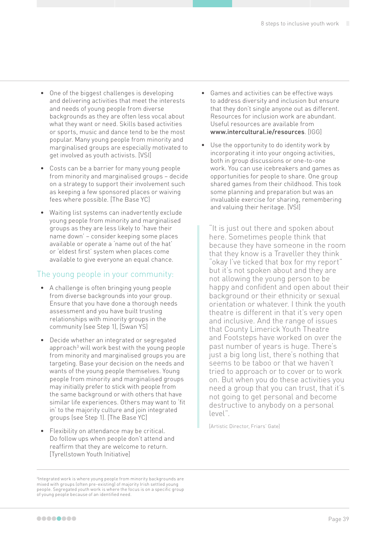- One of the biggest challenges is developing and delivering activities that meet the interests and needs of young people from diverse backgrounds as they are often less vocal about what they want or need. Skills based activities or sports, music and dance tend to be the most popular. Many young people from minority and marginalised groups are especially motivated to get involved as youth activists. [VSI]
- Costs can be a barrier for many young people from minority and marginalised groups – decide on a strategy to support their involvement such as keeping a few sponsored places or waiving fees where possible. [The Base YC]
- Waiting list systems can inadvertently exclude young people from minority and marginalised groups as they are less likely to 'have their name down' – consider keeping some places available or operate a 'name out of the hat' or 'eldest first' system when places come available to give everyone an equal chance.

#### The young people in your community:

- A challenge is often bringing young people from diverse backgrounds into your group. Ensure that you have done a thorough needs assessment and you have built trusting relationships with minority groups in the community (see Step 1), [Swan YS]
- Decide whether an integrated or segregated approach<sup>3</sup> will work best with the young people from minority and marginalised groups you are targeting. Base your decision on the needs and wants of the young people themselves. Young people from minority and marginalised groups may initially prefer to stick with people from the same background or with others that have similar life experiences. Others may want to 'fit in' to the majority culture and join integrated groups (see Step 1). [The Base YC]
- Flexibility on attendance may be critical. Do follow ups when people don't attend and reaffirm that they are welcome to return. [Tyrellstown Youth Initiative]
- 3 Integrated work is where young people from minority backgrounds are mixed with groups (often pre-existing) of majority Irish settled young people. Segregated youth work is where the focus is on a specific group of young people because of an identified need.
- Games and activities can be effective ways to address diversity and inclusion but ensure that they don't single anyone out as different. Resources for inclusion work are abundant. Useful resources are available from [www.intercultural.ie/resources](http://www.intercultural.ie/resources). [IGG]
- Use the opportunity to do identity work by incorporating it into your ongoing activities, both in group discussions or one-to-one work. You can use icebreakers and games as opportunities for people to share. One group shared games from their childhood. This took some planning and preparation but was an invaluable exercise for sharing, remembering and valuing their heritage. [VSI]

"It is just out there and spoken about here. Sometimes people think that because they have someone in the room that they know is a Traveller they think "okay I've ticked that box for my report" but it's not spoken about and they are not allowing the young person to be happy and confident and open about their background or their ethnicity or sexual orientation or whatever. I think the youth theatre is different in that it's very open and inclusive. And the range of issues that County Limerick Youth Theatre and Footsteps have worked on over the past number of years is huge. There's just a big long list, there's nothing that seems to be taboo or that we haven't tried to approach or to cover or to work on. But when you do these activities you need a group that you can trust, that it's not going to get personal and become destructive to anybody on a personal level".

[Artistic Director, Friars' Gate]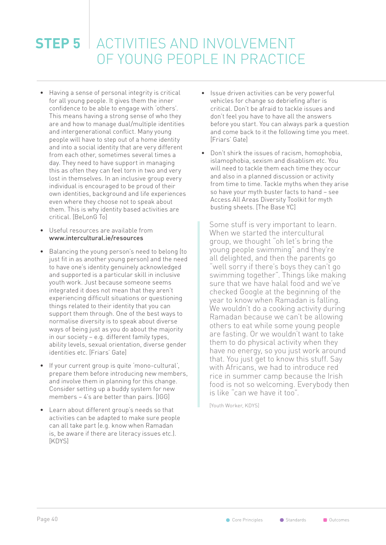### **STEP 5** ACTIVITIES AND INVOLVEMENT OF YOUNG PEOPLE IN PRACTICE

- Having a sense of personal integrity is critical for all young people. It gives them the inner confidence to be able to engage with 'others'. This means having a strong sense of who they are and how to manage dual/multiple identities and intergenerational conflict. Many young people will have to step out of a home identity and into a social identity that are very different from each other, sometimes several times a day. They need to have support in managing this as often they can feel torn in two and very lost in themselves. In an inclusive group every individual is encouraged to be proud of their own identities, background and life experiences even where they choose not to speak about them. This is why identity based activities are critical. [BeLonG To]
- Useful resources are available from www.intercultural.ie/resources
- Balancing the young person's need to belong (to just fit in as another young person) and the need to have one's identity genuinely acknowledged and supported is a particular skill in inclusive youth work. Just because someone seems integrated it does not mean that they aren't experiencing difficult situations or questioning things related to their identity that you can support them through. One of the best ways to normalise diversity is to speak about diverse ways of being just as you do about the majority in our society – e.g. different family types, ability levels, sexual orientation, diverse gender identities etc. [Friars' Gate]
- If your current group is quite 'mono-cultural', prepare them before introducing new members, and involve them in planning for this change. Consider setting up a buddy system for new members – 4's are better than pairs. [IGG]
- Learn about different group's needs so that activities can be adapted to make sure people can all take part (e.g. know when Ramadan is, be aware if there are literacy issues etc.). [KDYS]
- Issue driven activities can be very powerful vehicles for change so debriefing after is critical. Don't be afraid to tackle issues and don't feel you have to have all the answers before you start. You can always park a question and come back to it the following time you meet. [Friars' Gate]
- Don't shirk the issues of racism, homophobia, islamophobia, sexism and disablism etc. You will need to tackle them each time they occur and also in a planned discussion or activity from time to time. Tackle myths when they arise so have your myth buster facts to hand – see Access All Areas Diversity Toolkit for myth busting sheets. [The Base YC]

Some stuff is very important to learn. When we started the intercultural group, we thought "oh let's bring the young people swimming" and they're all delighted, and then the parents go "well sorry if there's boys they can't go swimming together". Things like making sure that we have halal food and we've checked Google at the beginning of the year to know when Ramadan is falling. We wouldn't do a cooking activity during Ramadan because we can't be allowing others to eat while some young people are fasting. Or we wouldn't want to take them to do physical activity when they have no energy, so you just work around that. You just get to know this stuff. Say with Africans, we had to introduce red rice in summer camp because the Irish food is not so welcoming. Everybody then is like "can we have it too".

[Youth Worker, KDYS]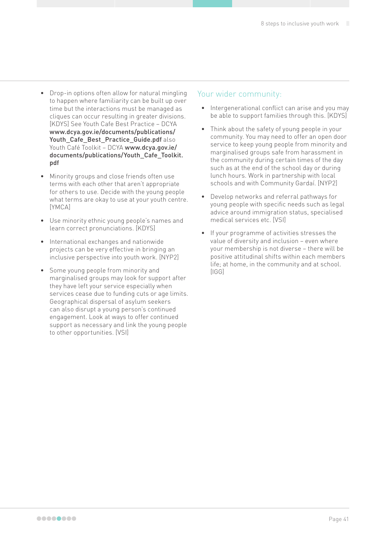- Drop-in options often allow for natural mingling to happen where familiarity can be built up over time but the interactions must be managed as cliques can occur resulting in greater divisions. [KDYS] See Youth Cafe Best Practice – DCYA www.dcya.gov.ie/documents/publications/ Youth Cafe Best Practice Guide.pdf also Youth Café Toolkit – DCYA www.dcya.gov.ie/ documents/publications/Youth\_Cafe\_Toolkit. pdf
- Minority groups and close friends often use terms with each other that aren't appropriate for others to use. Decide with the young people what terms are okay to use at your youth centre. [YMCA]
- Use minority ethnic young people's names and learn correct pronunciations. [KDYS]
- International exchanges and nationwide projects can be very effective in bringing an inclusive perspective into youth work. [NYP2]
- Some young people from minority and marginalised groups may look for support after they have left your service especially when services cease due to funding cuts or age limits. Geographical dispersal of asylum seekers can also disrupt a young person's continued engagement. Look at ways to offer continued support as necessary and link the young people to other opportunities. [VSI]

#### Your wider community:

- Intergenerational conflict can arise and you may be able to support families through this. [KDYS]
- Think about the safety of young people in your community. You may need to offer an open door service to keep young people from minority and marginalised groups safe from harassment in the community during certain times of the day such as at the end of the school day or during lunch hours. Work in partnership with local schools and with Community Gardaí. [NYP2]
- Develop networks and referral pathways for young people with specific needs such as legal advice around immigration status, specialised medical services etc. [VSI]
- If your programme of activities stresses the value of diversity and inclusion – even where your membership is not diverse – there will be positive attitudinal shifts within each members life; at home, in the community and at school. [IGG]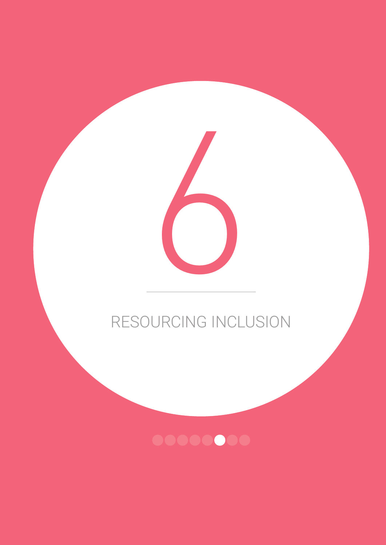# RESOURCING INCLUSION

6

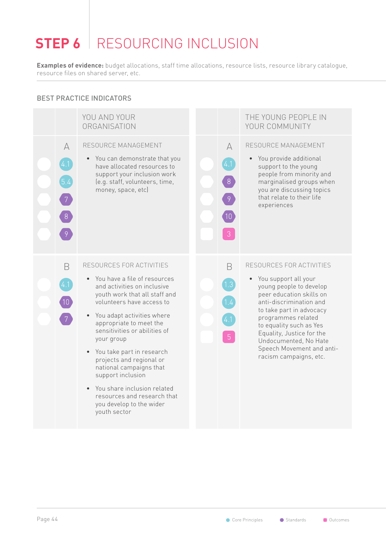# **STEP 6** RESOURCING INCLUSION

**Examples of evidence:** budget allocations, staff time allocations, resource lists, resource library catalogue, resource files on shared server, etc.

#### BEST PRACTICE INDICATORS

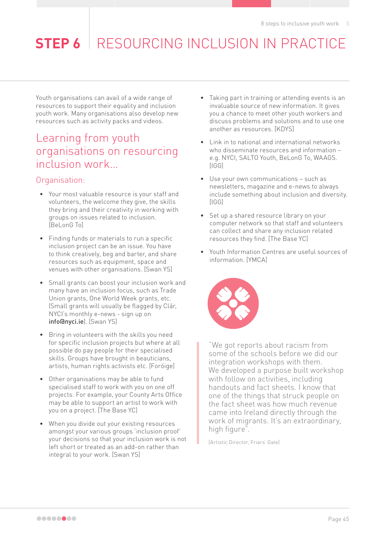# **STEP 6** RESOURCING INCLUSION IN PRACTICE

Youth organisations can avail of a wide range of resources to support their equality and inclusion youth work. Many organisations also develop new resources such as activity packs and videos.

### Learning from youth organisations on resourcing inclusion work…

#### Organisation:

- Your most valuable resource is your staff and volunteers, the welcome they give, the skills they bring and their creativity in working with groups on issues related to inclusion. [BeLonG To]
- Finding funds or materials to run a specific inclusion project can be an issue. You have to think creatively, beg and barter, and share resources such as equipment, space and venues with other organisations. [Swan YS]
- Small grants can boost your inclusion work and many have an inclusion focus, such as Trade Union grants, One World Week grants, etc. (Small grants will usually be flagged by Clár, NYCI's monthly e-news - sign up on info@nyci.ie). [Swan YS]
- Bring in volunteers with the skills you need for specific inclusion projects but where at all possible do pay people for their specialised skills. Groups have brought in beauticians, artists, human rights activists etc. [Foróige]
- Other organisations may be able to fund specialised staff to work with you on one off projects. For example, your County Arts Office may be able to support an artist to work with you on a project. [The Base YC]
- When you divide out your existing resources amongst your various groups 'inclusion proof' your decisions so that your inclusion work is not left short or treated as an add-on rather than integral to your work. [Swan YS]
- Taking part in training or attending events is an invaluable source of new information. It gives you a chance to meet other youth workers and discuss problems and solutions and to use one another as resources. [KDYS]
- Link in to national and international networks who disseminate resources and information – e.g. NYCI, SALTO Youth, BeLonG To, WAAGS. [IGG]
- Use your own communications such as newsletters, magazine and e-news to always include something about inclusion and diversity. [IGG]
- Set up a shared resource library on your computer network so that staff and volunteers can collect and share any inclusion related resources they find. [The Base YC]
- Youth Information Centres are useful sources of information. [YMCA]



"We got reports about racism from some of the schools before we did our integration workshops with them. We developed a purpose built workshop with follow on activities, including handouts and fact sheets. I know that one of the things that struck people on the fact sheet was how much revenue came into Ireland directly through the work of migrants. It's an extraordinary, high figure".

[Artistic Director, Friars' Gate]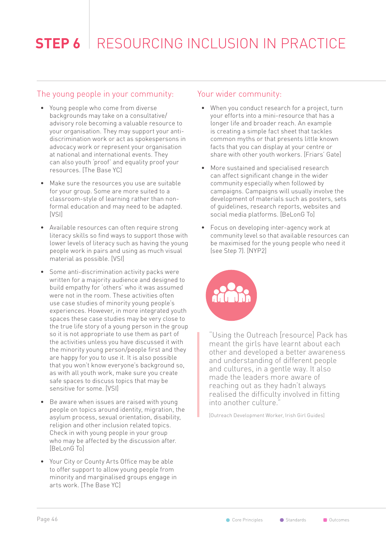# **STEP 6** RESOURCING INCLUSION IN PRACTICE

#### The young people in your community:

- Young people who come from diverse backgrounds may take on a consultative/ advisory role becoming a valuable resource to your organisation. They may support your antidiscrimination work or act as spokespersons in advocacy work or represent your organisation at national and international events. They can also youth 'proof' and equality proof your resources. [The Base YC]
- Make sure the resources you use are suitable for your group. Some are more suited to a classroom-style of learning rather than nonformal education and may need to be adapted. [VSI]
- Available resources can often require strong literacy skills so find ways to support those with lower levels of literacy such as having the young people work in pairs and using as much visual material as possible. [VSI]
- Some anti-discrimination activity packs were written for a majority audience and designed to build empathy for 'others' who it was assumed were not in the room. These activities often use case studies of minority young people's experiences. However, in more integrated youth spaces these case studies may be very close to the true life story of a young person in the group so it is not appropriate to use them as part of the activities unless you have discussed it with the minority young person/people first and they are happy for you to use it. It is also possible that you won't know everyone's background so, as with all youth work, make sure you create safe spaces to discuss topics that may be sensitive for some. [VSI]
- Be aware when issues are raised with young people on topics around identity, migration, the asylum process, sexual orientation, disability, religion and other inclusion related topics. Check in with young people in your group who may be affected by the discussion after. [BeLonG To]
- Your City or County Arts Office may be able to offer support to allow young people from minority and marginalised groups engage in arts work. [The Base YC]

#### Your wider community:

- When you conduct research for a project, turn your efforts into a mini-resource that has a longer life and broader reach. An example is creating a simple fact sheet that tackles common myths or that presents little known facts that you can display at your centre or share with other youth workers. [Friars' Gate]
- More sustained and specialised research can affect significant change in the wider community especially when followed by campaigns. Campaigns will usually involve the development of materials such as posters, sets of guidelines, research reports, websites and social media platforms. [BeLonG To]
- Focus on developing inter-agency work at community level so that available resources can be maximised for the young people who need it (see Step 7). [NYP2]



"Using the Outreach [resource] Pack has meant the girls have learnt about each other and developed a better awareness and understanding of different people and cultures, in a gentle way. It also made the leaders more aware of reaching out as they hadn't always realised the difficulty involved in fitting into another culture."

[Outreach Development Worker, Irish Girl Guides]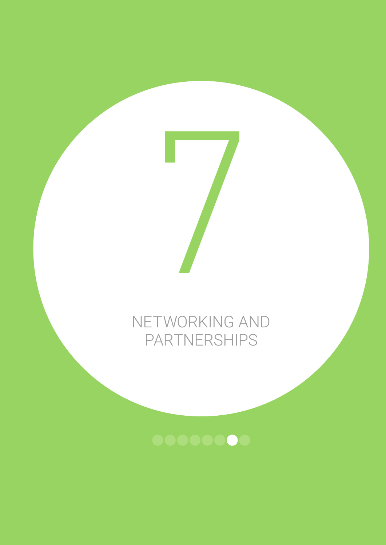# NETWORKING AND PARTNERSHIPS

7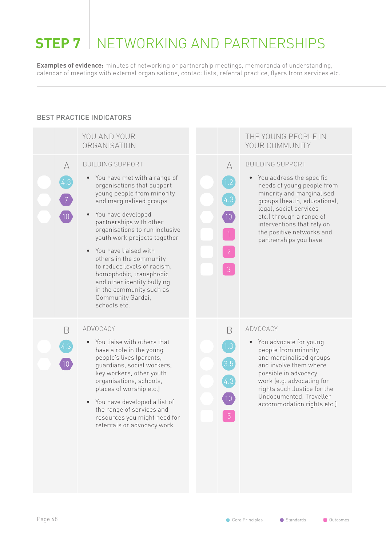# **STEP 7** NETWORKING AND PARTNERSHIPS

**Examples of evidence:** minutes of networking or partnership meetings, memoranda of understanding, calendar of meetings with external organisations, contact lists, referral practice, flyers from services etc.

#### BEST PRACTICE INDICATORS

|          | YOU AND YOUR<br>ORGANISATION                                                                                                                                                                                                                                                                                                                                                                                                                                                                     |                                            | THE YOUNG PEOPLE IN<br>YOUR COMMUNITY                                                                                                                                                                                                                                                                 |
|----------|--------------------------------------------------------------------------------------------------------------------------------------------------------------------------------------------------------------------------------------------------------------------------------------------------------------------------------------------------------------------------------------------------------------------------------------------------------------------------------------------------|--------------------------------------------|-------------------------------------------------------------------------------------------------------------------------------------------------------------------------------------------------------------------------------------------------------------------------------------------------------|
| A<br>4.3 | <b>BUILDING SUPPORT</b><br>• You have met with a range of<br>organisations that support<br>young people from minority<br>and marginalised groups<br>• You have developed<br>partnerships with other<br>organisations to run inclusive<br>youth work projects together<br>You have liaised with<br>$\bullet$<br>others in the community<br>to reduce levels of racism,<br>homophobic, transphobic<br>and other identity bullying<br>in the community such as<br>Community Gardaí,<br>schools etc. | A<br>1.2<br>$10\,$<br>$\overline{2}$<br>3  | <b>BUILDING SUPPORT</b><br>You address the specific<br>$\bullet$<br>needs of young people from<br>minority and marginalised<br>groups (health, educational,<br>legal, social services<br>etc.) through a range of<br>interventions that rely on<br>the positive networks and<br>partnerships you have |
| B        | ADVOCACY<br>You liaise with others that<br>$\bullet$<br>have a role in the young<br>people's lives (parents,<br>guardians, social workers,<br>key workers, other youth<br>organisations, schools,<br>places of worship etc.)<br>You have developed a list of<br>$\bullet$<br>the range of services and<br>resources you might need for<br>referrals or advocacy work                                                                                                                             | B<br>1.3<br>[3.5<br>4.3<br>10 <sup>7</sup> | ADVOCACY<br>• You advocate for young<br>people from minority<br>and marginalised groups<br>and involve them where<br>possible in advocacy<br>work (e.g. advocating for<br>rights such Justice for the<br>Undocumented, Traveller<br>accommodation rights etc.)                                        |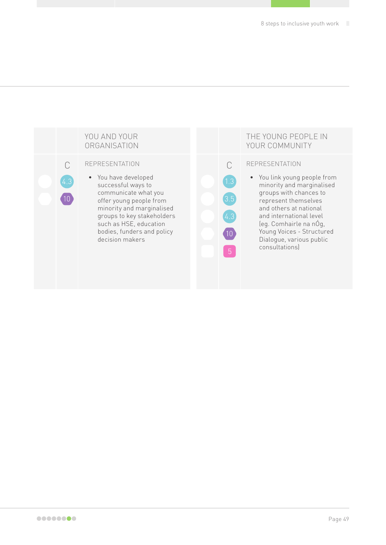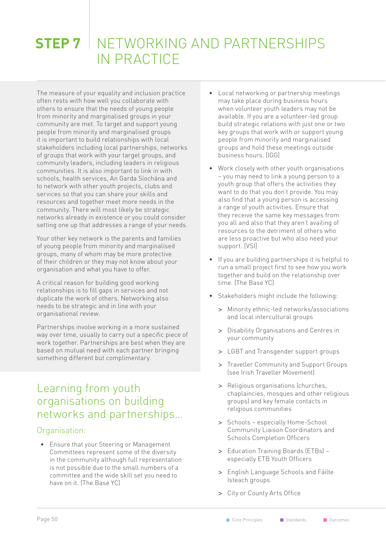## **STEP 7** NETWORKING AND PARTNERSHIPS IN PRACTICE

The measure of your equality and inclusion practice often rests with how well you collaborate with others to ensure that the needs of young people from minority and marginalised groups in your community are met. To target and support young people from minority and marginalised groups it is important to build relationships with local stakeholders including local partnerships, networks of groups that work with your target groups, and community leaders, including leaders in religious communities. It is also important to link in with schools, health services, An Garda Síochána and to network with other youth projects, clubs and services so that you can share your skills and resources and together meet more needs in the community. There will most likely be strategic networks already in existence or you could consider setting one up that addresses a range of your needs.

Your other key network is the parents and families of young people from minority and marginalised groups, many of whom may be more protective of their children or they may not know about your organisation and what you have to offer.

A critical reason for building good working relationships is to fill gaps in services and not duplicate the work of others. Networking also needs to be strategic and in line with your organisational review.

Partnerships involve working in a more sustained way over time, usually to carry out a specific piece of work together. Partnerships are best when they are based on mutual need with each partner bringing something different but complimentary.

### Learning from youth organisations on building networks and partnerships…

#### Organisation:

• Ensure that your Steering or Management Committees represent some of the diversity in the community although full representation is not possible due to the small numbers of a committee and the wide skill set you need to have on it. [The Base YC]

- Local networking or partnership meetings may take place during business hours when volunteer youth leaders may not be available. If you are a volunteer-led group build strategic relations with just one or two key groups that work with or support young people from minority and marginalised groups and hold these meetings outside business hours. [IGG]
- Work closely with other youth organisations – you may need to link a young person to a youth group that offers the activities they want to do that you don't provide. You may also find that a young person is accessing a range of youth activities. Ensure that they receive the same key messages from you all and also that they aren't availing of resources to the detriment of others who are less proactive but who also need your support. [VSI]
- If you are building partnerships it is helpful to run a small project first to see how you work together and build on the relationship over time. [The Base YC]
- Stakeholders might include the following:
	- **>** Minority ethnic-led networks/associations and local intercultural groups
	- **>** Disability Organisations and Centres in your community
	- **>** LGBT and Transgender support groups
	- **>** Traveller Community and Support Groups (see Irish Traveller Movement)
	- **>** Religious organisations (churches, chaplaincies, mosques and other religious groups) and key female contacts in religious communities
	- **>** Schools especially Home-School Community Liaison Coordinators and Schools Completion Officers
	- **>** Education Training Boards (ETBs) especially ETB Youth Officers
	- **>** English Language Schools and Fáilte Isteach groups
	- **>** City or County Arts Office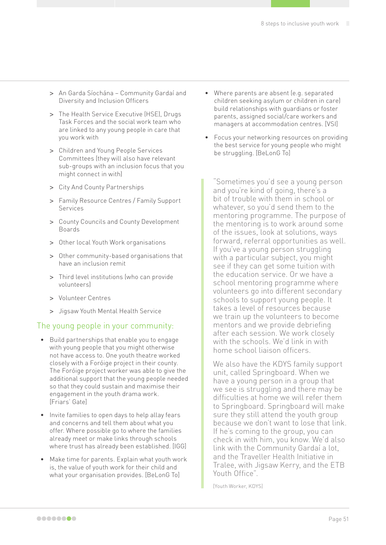- **>** An Garda Síochána Community Gardaí and Diversity and Inclusion Officers
- **>** The Health Service Executive (HSE), Drugs Task Forces and the social work team who are linked to any young people in care that you work with
- **>** Children and Young People Services Committees (they will also have relevant sub-groups with an inclusion focus that you might connect in with)
- **>** City And County Partnerships
- **>** Family Resource Centres / Family Support Services
- **>** County Councils and County Development Boards
- **>** Other local Youth Work organisations
- **>** Other community-based organisations that have an inclusion remit
- **>** Third level institutions (who can provide volunteers)
- **>** Volunteer Centres
- **>** Jigsaw Youth Mental Health Service

#### The young people in your community:

- Build partnerships that enable you to engage with young people that you might otherwise not have access to. One youth theatre worked closely with a Foróige project in their county. The Foróige project worker was able to give the additional support that the young people needed so that they could sustain and maximise their engagement in the youth drama work. [Friars' Gate]
- Invite families to open days to help allay fears and concerns and tell them about what you offer. Where possible go to where the families already meet or make links through schools where trust has already been established. [IGG]
- Make time for parents. Explain what youth work is, the value of youth work for their child and what your organisation provides. [BeLonG To]
- Where parents are absent (e.g. separated children seeking asylum or children in care) build relationships with guardians or foster parents, assigned social/care workers and managers at accommodation centres. [VSI]
- Focus your networking resources on providing the best service for young people who might be struggling. [BeLonG To]

"Sometimes you'd see a young person and you're kind of going, there's a bit of trouble with them in school or whatever, so you'd send them to the mentoring programme. The purpose of the mentoring is to work around some of the issues, look at solutions, ways forward, referral opportunities as well. If you've a young person struggling with a particular subject, you might see if they can get some tuition with the education service. Or we have a school mentoring programme where volunteers go into different secondary schools to support young people. It takes a level of resources because we train up the volunteers to become mentors and we provide debriefing after each session. We work closely with the schools. We'd link in with home school liaison officers.

We also have the KDYS family support unit, called Springboard. When we have a young person in a group that we see is struggling and there may be difficulties at home we will refer them to Springboard. Springboard will make sure they still attend the youth group because we don't want to lose that link. If he's coming to the group, you can check in with him, you know. We'd also link with the Community Gardaí a lot, and the Traveller Health Initiative in Tralee, with Jigsaw Kerry, and the ETB Youth Office".

[Youth Worker, KDYS]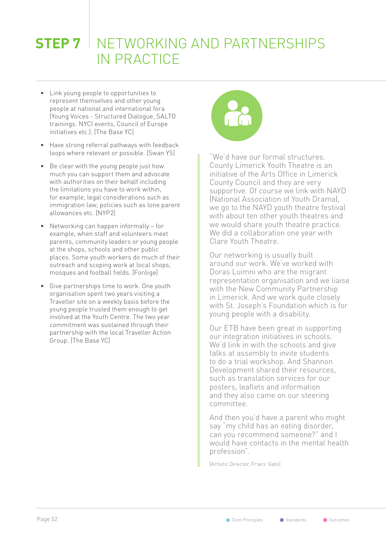# **STEP 7** NETWORKING AND PARTNERSHIPS IN PRACTICE

- Link young people to opportunities to represent themselves and other young people at national and international fora (Young Voices - Structured Dialogue, SALTO trainings. NYCI events, Council of Europe initiatives etc.). [The Base YC]
- Have strong referral pathways with feedback loops where relevant or possible. [Swan YS]
- Be clear with the young people just how much you can support them and advocate with authorities on their behalf including the limitations you have to work within, for example, legal considerations such as immigration law, policies such as lone parent allowances etc. [NYP2]
- Networking can happen informally for example, when staff and volunteers meet parents, community leaders or young people at the shops, schools and other public places. Some youth workers do much of their outreach and scoping work at local shops, mosques and football fields. [Foróige]
- Give partnerships time to work. One youth organisation spent two years visiting a Traveller site on a weekly basis before the young people trusted them enough to get involved at the Youth Centre. The two year commitment was sustained through their partnership with the local Traveller Action Group. [The Base YC]



"We'd have our formal structures. County Limerick Youth Theatre is an initiative of the Arts Office in Limerick County Council and they are very supportive. Of course we link with NAYD (National Association of Youth Drama), we go to the NAYD youth theatre festival with about ten other youth theatres and we would share youth theatre practice. We did a collaboration one year with Clare Youth Theatre.

Our networking is usually built around our work. We've worked with Doras Luimni who are the migrant representation organisation and we liaise with the New Community Partnership in Limerick. And we work quite closely with St. Joseph's Foundation which is for young people with a disability.

Our ETB have been great in supporting our integration initiatives in schools. We'd link in with the schools and give talks at assembly to invite students to do a trial workshop. And Shannon Development shared their resources, such as translation services for our posters, leaflets and information and they also came on our steering committee.

And then you'd have a parent who might say "my child has an eating disorder, can you recommend someone?" and I would have contacts in the mental health profession".

[Artistic Director, Friars' Gate]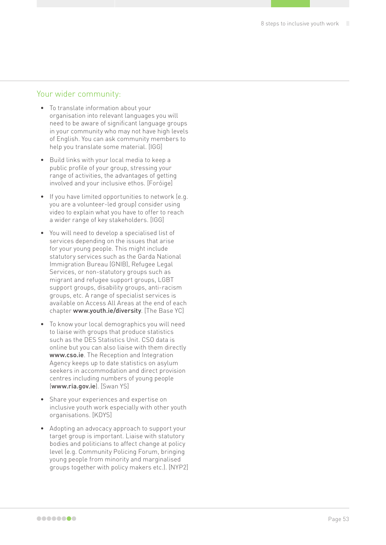#### Your wider community:

- To translate information about your organisation into relevant languages you will need to be aware of significant language groups in your community who may not have high levels of English. You can ask community members to help you translate some material. [IGG]
- Build links with your local media to keep a public profile of your group, stressing your range of activities, the advantages of getting involved and your inclusive ethos. [Foróige]
- If you have limited opportunities to network (e.g. you are a volunteer-led group) consider using video to explain what you have to offer to reach a wider range of key stakeholders. [IGG]
- You will need to develop a specialised list of services depending on the issues that arise for your young people. This might include statutory services such as the Garda National Immigration Bureau (GNIB), Refugee Legal Services, or non-statutory groups such as migrant and refugee support groups, LGBT support groups, disability groups, anti-racism groups, etc. A range of specialist services is available on Access All Areas at the end of each chapter [www.youth.ie/diversity](http://www.youth.ie/diversity). [The Base YC]
- To know your local demographics you will need to liaise with groups that produce statistics such as the DES Statistics Unit. CSO data is online but you can also liaise with them directly [www.cso.ie](http://www.cso.ie). The Reception and Integration Agency keeps up to date statistics on asylum seekers in accommodation and direct provision centres including numbers of young people ([www.ria.gov.ie](http://www.ria.gov.ie)). [Swan YS]
- Share your experiences and expertise on inclusive youth work especially with other youth organisations. [KDYS]
- Adopting an advocacy approach to support your target group is important. Liaise with statutory bodies and politicians to affect change at policy level (e.g. Community Policing Forum, bringing young people from minority and marginalised groups together with policy makers etc.). [NYP2]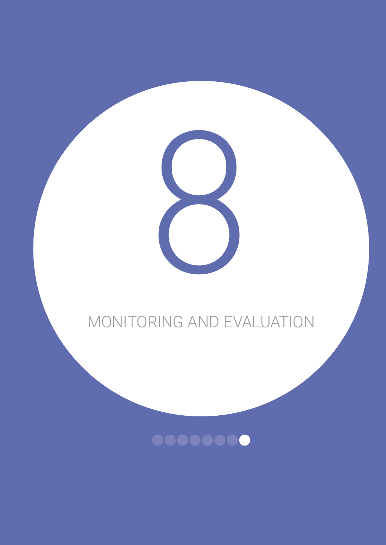

8

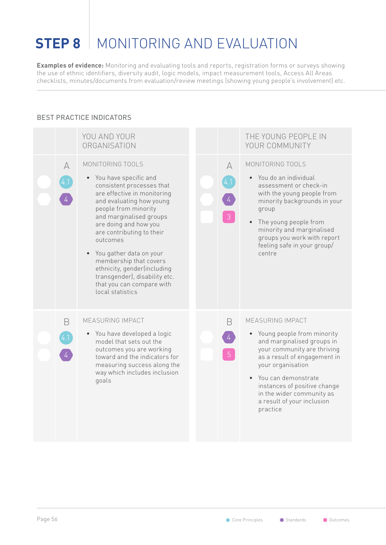# **STEP 8** MONITORING AND FVALUATION

**Examples of evidence:** Monitoring and evaluating tools and reports, registration forms or surveys showing the use of ethnic identifiers, diversity audit, logic models, impact measurement tools, Access All Areas checklists, minutes/documents from evaluation/review meetings (showing young people's involvement) etc.

#### BEST PRACTICE INDICATORS

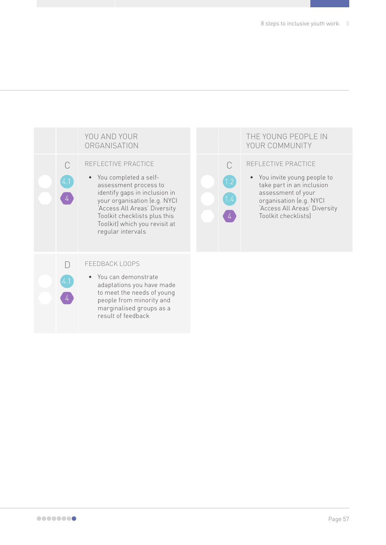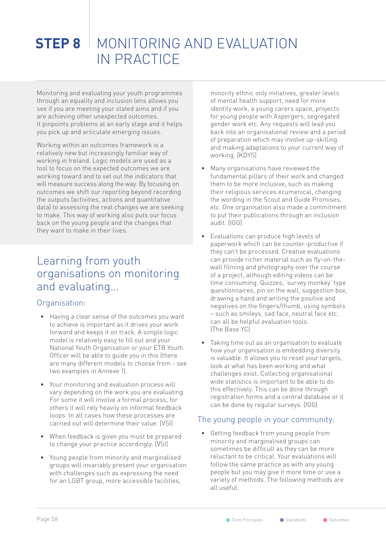# **STEP 8** MONITORING AND FVALUATION IN PRACTICE

Monitoring and evaluating your youth programmes through an equality and inclusion lens allows you see if you are meeting your stated aims and if you are achieving other unexpected outcomes. It pinpoints problems at an early stage and it helps you pick up and articulate emerging issues.

Working within an outcomes framework is a relatively new but increasingly familiar way of working in Ireland. Logic models are used as a tool to focus on the expected outcomes we are working toward and to set out the indicators that will measure success along the way. By focusing on outcomes we shift our reporting beyond recording the outputs (activities, actions and quantitative data) to assessing the real changes we are seeking to make. This way of working also puts our focus back on the young people and the changes that they want to make in their lives.

### Learning from youth organisations on monitoring and evaluating…

#### Organisation:

- Having a clear sense of the outcomes you want to achieve is important as it drives your work forward and keeps it on track. A simple logic model is relatively easy to fill out and your National Youth Organisation or your ETB Youth Officer will be able to guide you in this (there are many different models to choose from - see two examples in Annexe 1).
- Your monitoring and evaluation process will vary depending on the work you are evaluating. For some it will involve a formal process, for others it will rely heavily on informal feedback loops. In all cases how these processes are carried out will determine their value. [VSI]
- When feedback is given you must be prepared to change your practice accordingly. [VSI]
- Young people from minority and marginalised groups will invariably present your organisation with challenges such as expressing the need for an LGBT group, more accessible facilities,

minority ethnic only initiatives, greater levels of mental health support, need for more identity work, a young carers space, projects for young people with Aspergers, segregated gender work etc. Any requests will lead you back into an organisational review and a period of preparation which may involve up-skilling and making adaptations to your current way of working. [KDYS]

- Many organisations have reviewed the fundamental pillars of their work and changed them to be more inclusive, such as making their religious services ecumenical, changing the wording in the Scout and Guide Promises, etc. One organisation also made a commitment to put their publications through an inclusion audit. [IGG]
- Evaluations can produce high levels of paperwork which can be counter-productive if they can't be processed. Creative evaluations can provide richer material such as fly-on-thewall filming and photography over the course of a project, although editing videos can be time consuming. Quizzes, 'survey monkey' type questionnaires, pin on the wall, suggestion box, drawing a hand and writing the positive and negatives on the fingers/thumb, using symbols – such as smileys, sad face, neutral face etc. can all be helpful evaluation tools. [The Base YC]
- Taking time out as an organisation to evaluate how your organisation is embedding diversity is valuable. It allows you to reset your targets, look at what has been working and what challenges exist. Collecting organisational wide statistics is important to be able to do this effectively. This can be done through registration forms and a central database or it can be done by regular surveys. [IGG]

#### The young people in your community:

• Getting feedback from young people from minority and marginalised groups can sometimes be difficult as they can be more reluctant to be critical. Your evaluations will follow the same practice as with any young people but you may give it more time or use a variety of methods. The following methods are all useful: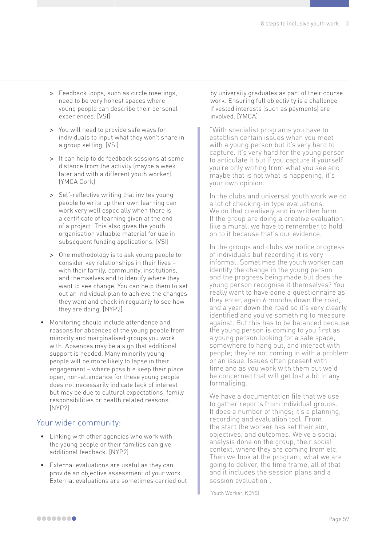- **>** Feedback loops, such as circle meetings, need to be very honest spaces where young people can describe their personal experiences. [VSI]
- **>** You will need to provide safe ways for individuals to input what they won't share in a group setting. [VSI]
- **>** It can help to do feedback sessions at some distance from the activity (maybe a week later and with a different youth worker). [YMCA Cork]
- **>** Self-reflective writing that invites young people to write up their own learning can work very well especially when there is a certificate of learning given at the end of a project. This also gives the youth organisation valuable material for use in subsequent funding applications. [VSI]
- **>** One methodology is to ask young people to consider key relationships in their lives – with their family, community, institutions, and themselves and to identify where they want to see change. You can help them to set out an individual plan to achieve the changes they want and check in regularly to see how they are doing. [NYP2]
- Monitoring should include attendance and reasons for absences of the young people from minority and marginalised groups you work with. Absences may be a sign that additional support is needed. Many minority young people will be more likely to lapse in their engagement – where possible keep their place open, non-attendance for these young people does not necessarily indicate lack of interest but may be due to cultural expectations, family responsibilities or health related reasons. [NYP2]

#### Your wider community:

- Linking with other agencies who work with the young people or their families can give additional feedback. [NYP2]
- External evaluations are useful as they can provide an objective assessment of your work. External evaluations are sometimes carried out

by university graduates as part of their course work. Ensuring full objectivity is a challenge if vested interests (such as payments) are involved. [YMCA]

"With specialist programs you have to establish certain issues when you meet with a young person but it's very hard to capture. It's very hard for the young person to articulate it but if you capture it yourself you're only writing from what you see and maybe that is not what is happening, it's your own opinion.

In the clubs and universal youth work we do a lot of checking-in type evaluations. We do that creatively and in written form. If the group are doing a creative evaluation, like a mural, we have to remember to hold on to it because that's our evidence.

In the groups and clubs we notice progress of individuals but recording it is very informal. Sometimes the youth worker can identify the change in the young person and the progress being made but does the young person recognise it themselves? You really want to have done a questionnaire as they enter, again 6 months down the road, and a year down the road so it's very clearly identified and you've something to measure against. But this has to be balanced because the young person is coming to you first as a young person looking for a safe space, somewhere to hang out, and interact with people; they're not coming in with a problem or an issue. Issues often present with time and as you work with them but we'd be concerned that will get lost a bit in any formalising.

We have a documentation file that we use to gather reports from individual groups. It does a number of things; it's a planning, recording and evaluation tool. From the start the worker has set their aim, objectives, and outcomes. We've a social analysis done on the group, their social context, where they are coming from etc. Then we look at the program, what we are going to deliver, the time frame, all of that and it includes the session plans and a session evaluation".

[Youth Worker, KDYS]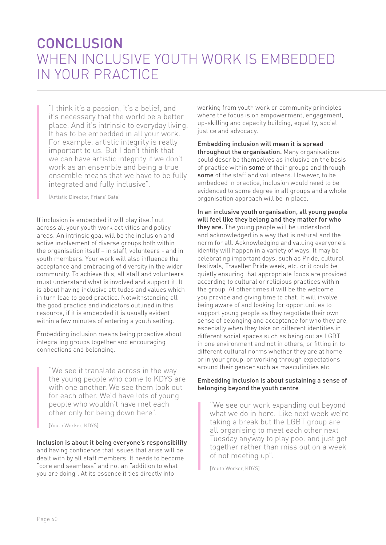### **CONCLUSION** WHEN INCLUSIVE YOUTH WORK IS EMBEDDED IN YOUR PRACTICE

"I think it's a passion, it's a belief, and it's necessary that the world be a better place. And it's intrinsic to everyday living. It has to be embedded in all your work. For example, artistic integrity is really important to us. But I don't think that we can have artistic integrity if we don't work as an ensemble and being a true ensemble means that we have to be fully integrated and fully inclusive".

(Artistic Director, Friars' Gate)

If inclusion is embedded it will play itself out across all your youth work activities and policy areas. An intrinsic goal will be the inclusion and active involvement of diverse groups both within the organisation itself – in staff, volunteers - and in youth members. Your work will also influence the acceptance and embracing of diversity in the wider community. To achieve this, all staff and volunteers must understand what is involved and support it. It is about having inclusive attitudes and values which in turn lead to good practice. Notwithstanding all the good practice and indicators outlined in this resource, if it is embedded it is usually evident within a few minutes of entering a youth setting.

Embedding inclusion means being proactive about integrating groups together and encouraging connections and belonging.

"We see it translate across in the way the young people who come to KDYS are with one another. We see them look out for each other. We'd have lots of young people who wouldn't have met each other only for being down here".

[Youth Worker, KDYS]

Inclusion is about it being everyone's responsibility and having confidence that issues that arise will be dealt with by all staff members. It needs to become "core and seamless" and not an "addition to what you are doing". At its essence it ties directly into

working from youth work or community principles where the focus is on empowerment, engagement, up-skilling and capacity building, equality, social justice and advocacy.

Embedding inclusion will mean it is spread throughout the organisation. Many organisations could describe themselves as inclusive on the basis of practice within some of their groups and through some of the staff and volunteers. However, to be embedded in practice, inclusion would need to be evidenced to some degree in all groups and a whole organisation approach will be in place.

In an inclusive youth organisation, all young people will feel like they belong and they matter for who they are. The young people will be understood and acknowledged in a way that is natural and the norm for all. Acknowledging and valuing everyone's identity will happen in a variety of ways. It may be celebrating important days, such as Pride, cultural festivals, Traveller Pride week, etc. or it could be quietly ensuring that appropriate foods are provided according to cultural or religious practices within the group. At other times it will be the welcome you provide and giving time to chat. It will involve being aware of and looking for opportunities to support young people as they negotiate their own sense of belonging and acceptance for who they are, especially when they take on different identities in different social spaces such as being out as LGBT in one environment and not in others, or fitting in to different cultural norms whether they are at home or in your group, or working through expectations around their gender such as masculinities etc.

#### Embedding inclusion is about sustaining a sense of belonging beyond the youth centre

"We see our work expanding out beyond what we do in here. Like next week we're taking a break but the LGBT group are all organising to meet each other next Tuesday anyway to play pool and just get together rather than miss out on a week of not meeting up".

[Youth Worker, KDYS]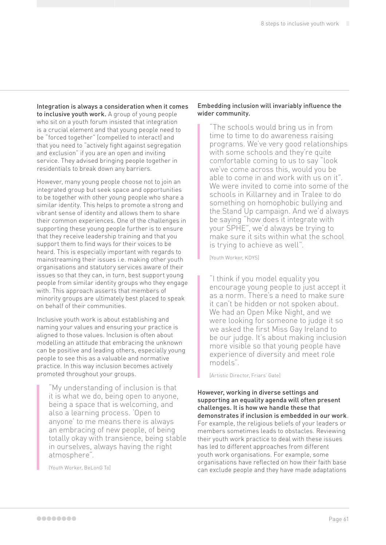Integration is always a consideration when it comes to inclusive youth work. A group of young people who sit on a youth forum insisted that integration is a crucial element and that young people need to be "forced together" (compelled to interact) and that you need to "actively fight against segregation and exclusion" if you are an open and inviting service. They advised bringing people together in residentials to break down any barriers.

However, many young people choose not to join an integrated group but seek space and opportunities to be together with other young people who share a similar identity. This helps to promote a strong and vibrant sense of identity and allows them to share their common experiences. One of the challenges in supporting these young people further is to ensure that they receive leadership training and that you support them to find ways for their voices to be heard. This is especially important with regards to mainstreaming their issues i.e. making other youth organisations and statutory services aware of their issues so that they can, in turn, best support young people from similar identity groups who they engage with. This approach asserts that members of minority groups are ultimately best placed to speak on behalf of their communities.

Inclusive youth work is about establishing and naming your values and ensuring your practice is aligned to those values. Inclusion is often about modelling an attitude that embracing the unknown can be positive and leading others, especially young people to see this as a valuable and normative practice. In this way inclusion becomes actively promoted throughout your groups.

"My understanding of inclusion is that it is what we do, being open to anyone, being a space that is welcoming, and also a learning process. 'Open to anyone' to me means there is always an embracing of new people, of being totally okay with transience, being stable in ourselves, always having the right atmosphere".

(Youth Worker, BeLonG To]

#### Embedding inclusion will invariably influence the wider community.

"The schools would bring us in from time to time to do awareness raising programs. We've very good relationships with some schools and they're quite comfortable coming to us to say "look we've come across this, would you be able to come in and work with us on it". We were invited to come into some of the schools in Killarney and in Tralee to do something on homophobic bullying and the Stand Up campaign. And we'd always be saying "how does it integrate with your SPHE", we'd always be trying to make sure it sits within what the school is trying to achieve as well".

[Youth Worker, KDYS]

"I think if you model equality you encourage young people to just accept it as a norm. There's a need to make sure it can't be hidden or not spoken about. We had an Open Mike Night, and we were looking for someone to judge it so we asked the first Miss Gay Ireland to be our judge. It's about making inclusion more visible so that young people have experience of diversity and meet role models".

[Artistic Director, Friars' Gate]

However, working in diverse settings and supporting an equality agenda will often present challenges. It is how we handle these that demonstrates if inclusion is embedded in our work. For example, the religious beliefs of your leaders or members sometimes leads to obstacles. Reviewing their youth work practice to deal with these issues has led to different approaches from different youth work organisations. For example, some organisations have reflected on how their faith base can exclude people and they have made adaptations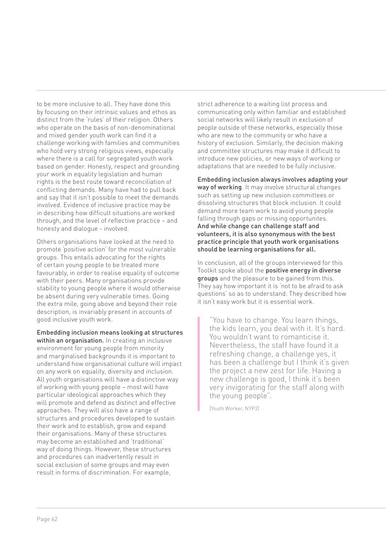to be more inclusive to all. They have done this by focusing on their intrinsic values and ethos as distinct from the 'rules' of their religion. Others who operate on the basis of non-denominational and mixed gender youth work can find it a challenge working with families and communities who hold very strong religious views, especially where there is a call for segregated youth work based on gender. Honesty, respect and grounding your work in equality legislation and human rights is the best route toward reconciliation of conflicting demands. Many have had to pull back and say that it isn't possible to meet the demands involved. Evidence of inclusive practice may be in describing how difficult situations are worked through, and the level of reflective practice – and honesty and dialogue - involved.

Others organisations have looked at the need to promote 'positive action' for the most vulnerable groups. This entails advocating for the rights of certain young people to be treated more favourably, in order to realise equality of outcome with their peers. Many organisations provide stability to young people where it would otherwise be absent during very vulnerable times. Going the extra mile, going above and beyond their role description, is invariably present in accounts of good inclusive youth work.

Embedding inclusion means looking at structures within an organisation. In creating an inclusive environment for young people from minority and marginalised backgrounds it is important to understand how organisational culture will impact on any work on equality, diversity and inclusion. All youth organisations will have a distinctive way of working with young people – most will have particular ideological approaches which they will promote and defend as distinct and effective approaches. They will also have a range of structures and procedures developed to sustain their work and to establish, grow and expand their organisations. Many of these structures may become an established and 'traditional' way of doing things. However, these structures and procedures can inadvertently result in social exclusion of some groups and may even result in forms of discrimination. For example,

strict adherence to a waiting list process and communicating only within familiar and established social networks will likely result in exclusion of people outside of these networks, especially those who are new to the community or who have a history of exclusion. Similarly, the decision making and committee structures may make it difficult to introduce new policies, or new ways of working or adaptations that are needed to be fully inclusive.

Embedding inclusion always involves adapting your way of working. It may involve structural changes such as setting up new inclusion committees or dissolving structures that block inclusion. It could demand more team work to avoid young people falling through gaps or missing opportunites. And while change can challenge staff and volunteers, it is also synonymous with the best practice principle that youth work organisations should be learning organisations for all.

In conclusion, all of the groups interviewed for this Toolkit spoke about the positive energy in diverse **groups** and the pleasure to be gained from this. They say how important it is 'not to be afraid to ask questions' so as to understand. They described how it isn't easy work but it is essential work.

"You have to change. You learn things, the kids learn, you deal with it. It's hard. You wouldn't want to romanticise it. Nevertheless, the staff have found it a refreshing change, a challenge yes, it has been a challenge but I think it's given the project a new zest for life. Having a new challenge is good, I think it's been very invigorating for the staff along with the young people".

[Youth Worker, NYP2]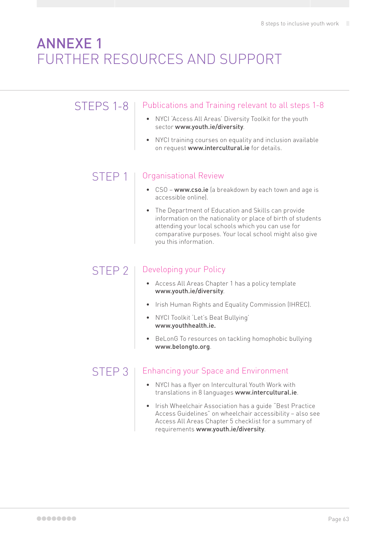### ANNEXE 1 FURTHER RESOURCES AND SUPPORT

#### STEPS 1-8 | Publications and Training relevant to all steps 1-8

- NYCI 'Access All Areas' Diversity Toolkit for the youth sector [www.youth.ie/diversity](http://www.youth.ie/diversity).
- NYCI training courses on equality and inclusion available on request [www.intercultural.ie](http://www.intercultural.ie) for details.

#### STEP 1 | Organisational Review

- CSO [www.cso.ie](http://www.cso.ie) (a breakdown by each town and age is accessible online).
- The Department of Education and Skills can provide information on the nationality or place of birth of students attending your local schools which you can use for comparative purposes. Your local school might also give you this information.

#### STEP 2 | Developing your Policy

- Access All Areas Chapter 1 has a policy template [www.youth.ie/diversity](http://www.youth.ie/diversity).
- Irish Human Rights and Equality Commission (IHREC).
- NYCI Toolkit 'Let's Beat Bullying' [www.youthhealth.ie](http://www.youthhealth.ie).
- BeLonG To resources on tackling homophobic bullying [www.belongto.org](http://www.belongto.org).

### STEP 3 | Enhancing your Space and Environment

- NYCI has a flyer on Intercultural Youth Work with translations in 8 languages [www.intercultural.ie](http:// www.intercultural.ie).
- Irish Wheelchair Association has a guide "Best Practice Access Guidelines" on wheelchair accessibility – also see Access All Areas Chapter 5 checklist for a summary of requirements [www.youth.ie/diversity](http://www.youth.ie/diversity).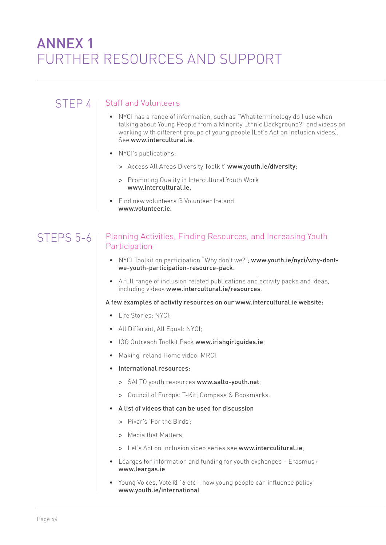## ANNEX 1 FURTHER RESOURCES AND SUPPORT

#### $STFP 4$  | Staff and Volunteers

- NYCI has a range of information, such as "What terminology do I use when talking about Young People from a Minority Ethnic Background?" and videos on working with different groups of young people (Let's Act on Inclusion videos). See [www.intercultural.ie](http://www.intercultural.ie).
- NYCI's publications:
	- **>** Access All Areas Diversity Toolkit' [www.youth.ie/diversity](http://www.youth.ie/diversity);
	- **>** Promoting Quality in Intercultural Youth Work [www.intercultural.ie](http://www.intercultural.ie).
- Find new volunteers @ Volunteer Ireland [www.volunteer.ie](http://www.volunteer.ie).

#### STEPS 5-6 Planning Activities, Finding Resources, and Increasing Youth **Participation**

- NYCI Toolkit on participation "Why don't we?"; [www.youth.ie/nyci/why-dont](http://www.youth.ie/nyci/why-dont-we-youth-participation-resource-pack)[we-youth-participation-resource-pack.](http://www.youth.ie/nyci/why-dont-we-youth-participation-resource-pack)
- A full range of inclusion related publications and activity packs and ideas, including videos [www.intercultural.ie/resources](http://www.intercultural.ie/resources).

A few examples of activity resources on our [www.intercultural.ie](http://www.intercultural.ie) website:

- Life Stories: NYCI;
- All Different, All Equal: NYCI;
- IGG Outreach Toolkit Pack [www.irishgirlguides.ie](http://www.irishgirlguides.ie):
- Making Ireland Home video: MRCI.
- International resources:
	- **>** SALTO youth resources [www.salto-youth.net](http://www.salto-youth.net);
	- **>** Council of Europe: T-Kit; Compass & Bookmarks.
- A list of videos that can be used for discussion
	- **>** Pixar's 'For the Birds';
	- **>** Media that Matters;
	- **>** Let's Act on Inclusion video series see [www.interculitural.ie](http://www.interculitural.ie);
- Léargas for information and funding for youth exchanges Erasmus+ [www.leargas.ie](http://www.leargas.ie)
- Young Voices, Vote @ 16 etc how young people can influence policy [www.youth.ie/international](http://www.youth.ie/international)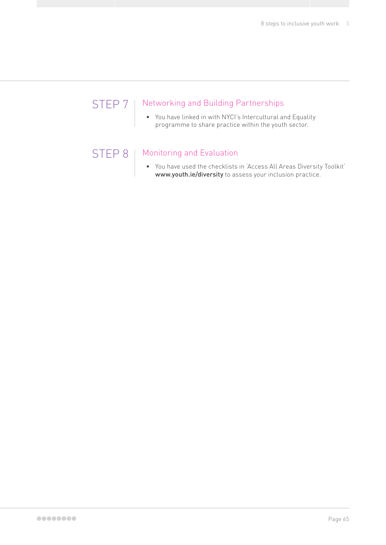### STEP 7 | Networking and Building Partnerships

• You have linked in with NYCI's Intercultural and Equality programme to share practice within the youth sector.

### STEP 8 | Monitoring and Evaluation

• You have used the checklists in 'Access All Areas Diversity Toolkit' [www.youth.ie/diversity](http://www.youth.ie/diversity) to assess your inclusion practice.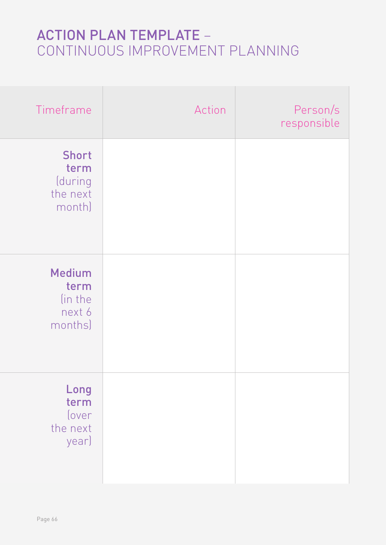# ACTION PLAN TEMPLATE – CONTINUOUS IMPROVEMENT PLANNING

| Timeframe                                             | Action | Person/s<br>responsible |
|-------------------------------------------------------|--------|-------------------------|
| <b>Short</b><br>term<br>(during<br>the next<br>month) |        |                         |
| <b>Medium</b><br>term<br>(in the<br>next 6<br>months) |        |                         |
| Long<br>term<br>(over<br>the next<br>year)            |        |                         |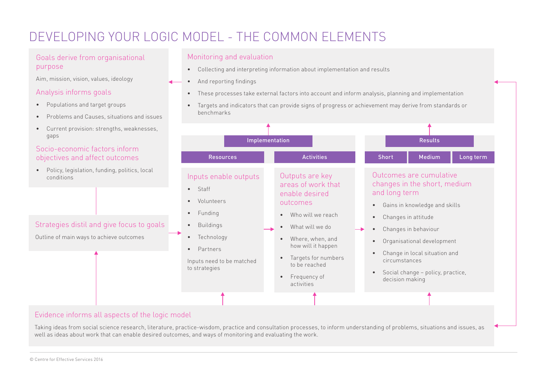### DEVELOPING YOUR LOGIC MODEL - THE COMMON ELEMENTS

#### Goals derive from organisational purpose

Aim, mission, vision, values, ideology

#### Analysis informs goals

- Populations and target groups
- Problems and Causes, situations and issues
- Current provision: strengths, weaknesses, gaps

#### Socio-economic factors inform objectives and affect outcomes

• Policy, legislation, funding, politics, local conditions

#### Monitoring and evaluation

- Collecting and interpreting information about implementation and results
- And reporting findings
- These processes take external factors into account and inform analysis, planning and implementation
- Targets and indicators that can provide signs of progress or achievement may derive from standards or benchmarks



Taking ideas from social science research, literature, practice-wisdom, practice and consultation processes, to inform understanding of problems, situations and issues, as well as ideas about work that can enable desired outcomes, and ways of monitoring and evaluating the work.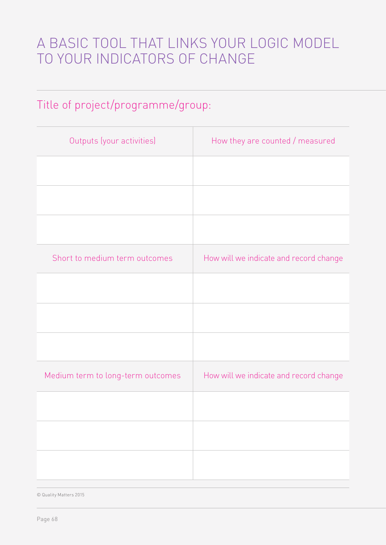# A BASIC TOOL THAT LINKS YOUR LOGIC MODEL TO YOUR INDICATORS OF CHANGE

### Title of project/programme/group:

| Outputs (your activities)         | How they are counted / measured        |
|-----------------------------------|----------------------------------------|
|                                   |                                        |
|                                   |                                        |
|                                   |                                        |
| Short to medium term outcomes     | How will we indicate and record change |
|                                   |                                        |
|                                   |                                        |
|                                   |                                        |
| Medium term to long-term outcomes | How will we indicate and record change |
|                                   |                                        |
|                                   |                                        |
|                                   |                                        |

© Quality Matters 2015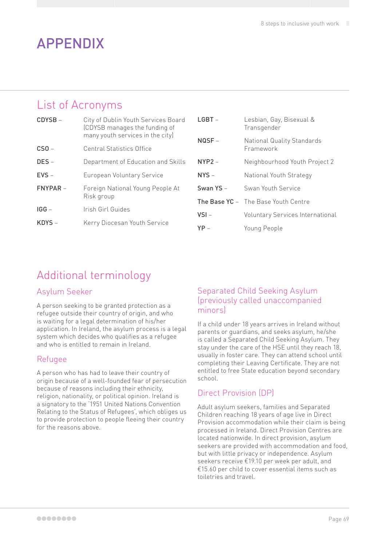### APPENDIX

### List of Acronyms

CDYSB – City of Dublin Youth Services Board (CDYSB manages the funding of many youth services in the city) CSO – Central Statistics Office DES – Department of Education and Skills EVS – European Voluntary Service FNYPAR – Foreign National Young People At Risk group IGG – Irish Girl Guides KDYS - Kerry Diocesan Youth Service

| $LGBT -$  | Lesbian, Gay, Bisexual &<br>Transgender        |
|-----------|------------------------------------------------|
| $NQSF -$  | <b>National Quality Standards</b><br>Framework |
| $NYP2 -$  | Neighbourhood Youth Project 2                  |
| $NYS -$   | National Youth Strategy                        |
| Swan YS - | Swan Youth Service                             |
|           | <b>The Base YC</b> - The Base Youth Centre     |
| $VSI -$   | <b>Voluntary Services International</b>        |
| $YP -$    | Young People                                   |

### Additional terminology

#### Asylum Seeker

A person seeking to be granted protection as a refugee outside their country of origin, and who is waiting for a legal determination of his/her application. In Ireland, the asylum process is a legal system which decides who qualifies as a refugee and who is entitled to remain in Ireland.

#### Refugee

A person who has had to leave their country of origin because of a well-founded fear of persecution because of reasons including their ethnicity, religion, nationality, or political opinion. Ireland is a signatory to the '1951 United Nations Convention Relating to the Status of Refugees', which obliges us to provide protection to people fleeing their country for the reasons above.

#### Separated Child Seeking Asylum (previously called unaccompanied minors)

If a child under 18 years arrives in Ireland without parents or guardians, and seeks asylum, he/she is called a Separated Child Seeking Asylum. They stay under the care of the HSE until they reach 18, usually in foster care. They can attend school until completing their Leaving Certificate. They are not entitled to free State education beyond secondary school.

### Direct Provision (DP)

Adult asylum seekers, families and Separated Children reaching 18 years of age live in Direct Provision accommodation while their claim is being processed in Ireland. Direct Provision Centres are located nationwide. In direct provision, asylum seekers are provided with accommodation and food, but with little privacy or independence. Asylum seekers receive €19.10 per week per adult, and €15.60 per child to cover essential items such as toiletries and travel.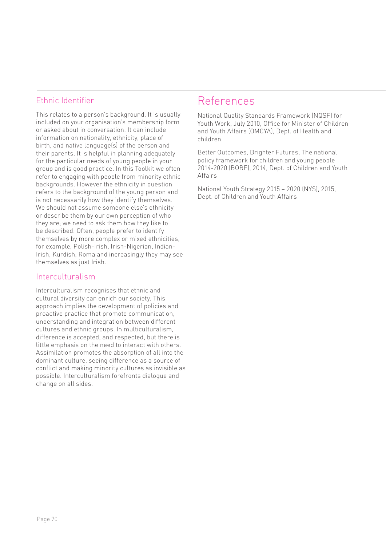#### Ethnic Identifier

This relates to a person's background. It is usually included on your organisation's membership form or asked about in conversation. It can include information on nationality, ethnicity, place of birth, and native language(s) of the person and their parents. It is helpful in planning adequately for the particular needs of young people in your group and is good practice. In this Toolkit we often refer to engaging with people from minority ethnic backgrounds. However the ethnicity in question refers to the background of the young person and is not necessarily how they identify themselves. We should not assume someone else's ethnicity or describe them by our own perception of who they are; we need to ask them how they like to be described. Often, people prefer to identify themselves by more complex or mixed ethnicities, for example, Polish-Irish, Irish-Nigerian, Indian-Irish, Kurdish, Roma and increasingly they may see themselves as just Irish.

#### Interculturalism

Interculturalism recognises that ethnic and cultural diversity can enrich our society. This approach implies the development of policies and proactive practice that promote communication, understanding and integration between different cultures and ethnic groups. In multiculturalism, difference is accepted, and respected, but there is little emphasis on the need to interact with others. Assimilation promotes the absorption of all into the dominant culture, seeing difference as a source of conflict and making minority cultures as invisible as possible. Interculturalism forefronts dialogue and change on all sides.

### References

National Quality Standards Framework (NQSF) for Youth Work, July 2010, Office for Minister of Children and Youth Affairs (OMCYA), Dept. of Health and children

Better Outcomes, Brighter Futures, The national policy framework for children and young people 2014-2020 (BOBF), 2014, Dept. of Children and Youth Affairs

National Youth Strategy 2015 – 2020 (NYS), 2015, Dept. of Children and Youth Affairs